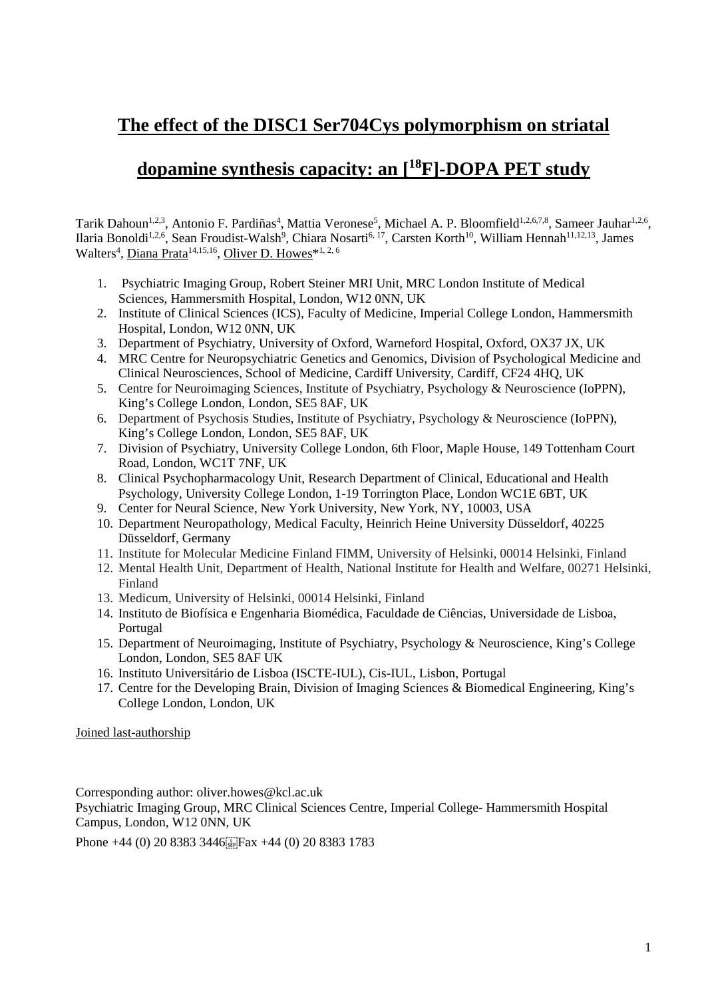### **The effect of the DISC1 Ser704Cys polymorphism on striatal**

## **dopamine synthesis capacity: an [<sup>18</sup>F]-DOPA PET study**

Tarik Dahoun<sup>1,2,3</sup>, Antonio F. Pardiñas<sup>4</sup>, Mattia Veronese<sup>5</sup>, Michael A. P. Bloomfield<sup>1,2,6,7,8</sup>, Sameer Jauhar<sup>1,2,6</sup>, Ilaria Bonoldi<sup>1,2,6</sup>, Sean Froudist-Walsh<sup>9</sup>, Chiara Nosarti<sup>6, 17</sup>, Carsten Korth<sup>10</sup>, William Hennah<sup>11,12,13</sup>, James Walters<sup>4</sup>, Diana Prata<sup>14,15,16</sup>, Oliver D. Howes<sup>\*1,2,6</sup>

- 1. Psychiatric Imaging Group, Robert Steiner MRI Unit, MRC London Institute of Medical Sciences, Hammersmith Hospital, London, W12 0NN, UK
- 2. Institute of Clinical Sciences (ICS), Faculty of Medicine, Imperial College London, Hammersmith Hospital, London, W12 0NN, UK
- 3. Department of Psychiatry, University of Oxford, Warneford Hospital, Oxford, OX37 JX, UK
- 4. MRC Centre for Neuropsychiatric Genetics and Genomics, Division of Psychological Medicine and Clinical Neurosciences, School of Medicine, Cardiff University, Cardiff, CF24 4HQ, UK
- 5. Centre for Neuroimaging Sciences, Institute of Psychiatry, Psychology & Neuroscience (IoPPN), King's College London, London, SE5 8AF, UK
- 6. Department of Psychosis Studies, Institute of Psychiatry, Psychology & Neuroscience (IoPPN), King's College London, London, SE5 8AF, UK
- 7. Division of Psychiatry, University College London, 6th Floor, Maple House, 149 Tottenham Court Road, London, WC1T 7NF, UK
- 8. Clinical Psychopharmacology Unit, Research Department of Clinical, Educational and Health Psychology, University College London, 1-19 Torrington Place, London WC1E 6BT, UK
- 9. Center for Neural Science, New York University, New York, NY, 10003, USA
- 10. Department Neuropathology, Medical Faculty, Heinrich Heine University Düsseldorf, 40225 Düsseldorf, Germany
- 11. Institute for Molecular Medicine Finland FIMM, University of Helsinki, 00014 Helsinki, Finland
- 12. Mental Health Unit, Department of Health, National Institute for Health and Welfare, 00271 Helsinki, Finland
- 13. Medicum, University of Helsinki, 00014 Helsinki, Finland
- 14. Instituto de Biofísica e Engenharia Biomédica, Faculdade de Ciências, Universidade de Lisboa, Portugal
- 15. Department of Neuroimaging, Institute of Psychiatry, Psychology & Neuroscience, King's College London, London, SE5 8AF UK
- 16. Instituto Universitário de Lisboa (ISCTE-IUL), Cis-IUL, Lisbon, Portugal
- 17. Centre for the Developing Brain, Division of Imaging Sciences & Biomedical Engineering, King's College London, London, UK

#### Joined last-authorship

Corresponding author: oliver.howes@kcl.ac.uk Psychiatric Imaging Group, MRC Clinical Sciences Centre, Imperial College- Hammersmith Hospital Campus, London, W12 0NN, UK

Phone +44 (0) 20 8383 3446 Fax +44 (0) 20 8383 1783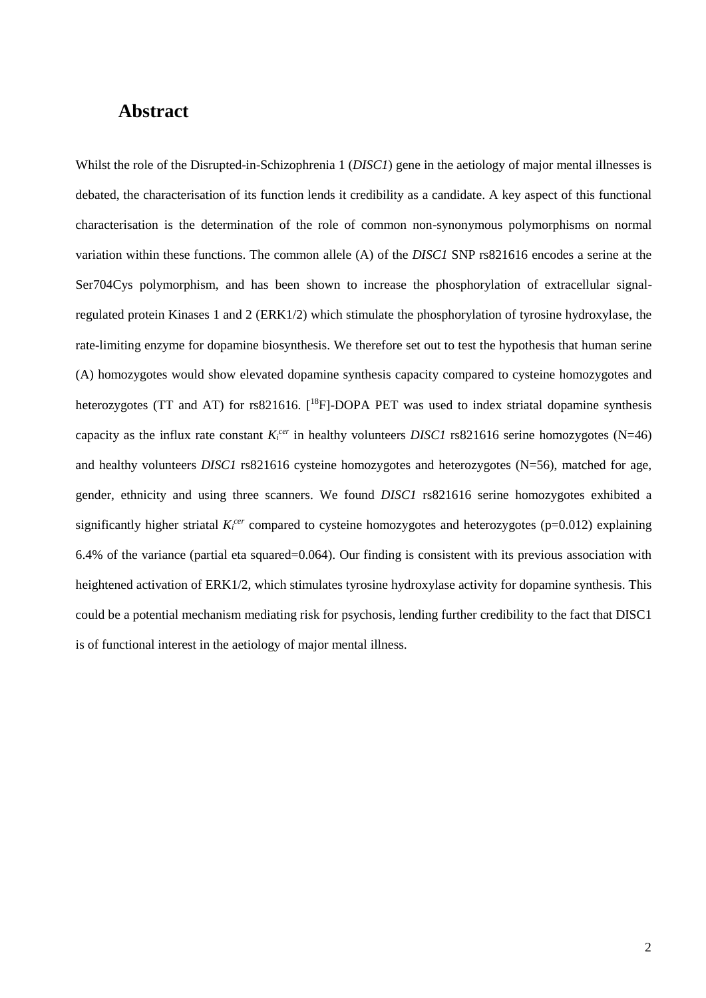### **Abstract**

Whilst the role of the Disrupted-in-Schizophrenia 1 (*DISC1*) gene in the aetiology of major mental illnesses is debated, the characterisation of its function lends it credibility as a candidate. A key aspect of this functional characterisation is the determination of the role of common non-synonymous polymorphisms on normal variation within these functions. The common allele (A) of the *DISC1* SNP rs821616 encodes a serine at the Ser704Cys polymorphism, and has been shown to increase the phosphorylation of extracellular signalregulated protein Kinases 1 and 2 (ERK1/2) which stimulate the phosphorylation of tyrosine hydroxylase, the rate-limiting enzyme for dopamine biosynthesis. We therefore set out to test the hypothesis that human serine (A) homozygotes would show elevated dopamine synthesis capacity compared to cysteine homozygotes and heterozygotes (TT and AT) for rs821616. [<sup>18</sup>F]-DOPA PET was used to index striatal dopamine synthesis capacity as the influx rate constant  $K_i^{cer}$  in healthy volunteers *DISC1* rs821616 serine homozygotes (N=46) and healthy volunteers *DISC1* rs821616 cysteine homozygotes and heterozygotes (N=56), matched for age, gender, ethnicity and using three scanners. We found *DISC1* rs821616 serine homozygotes exhibited a significantly higher striatal  $K_i^{cer}$  compared to cysteine homozygotes and heterozygotes ( $p=0.012$ ) explaining 6.4% of the variance (partial eta squared=0.064). Our finding is consistent with its previous association with heightened activation of ERK1/2, which stimulates tyrosine hydroxylase activity for dopamine synthesis. This could be a potential mechanism mediating risk for psychosis, lending further credibility to the fact that DISC1 is of functional interest in the aetiology of major mental illness.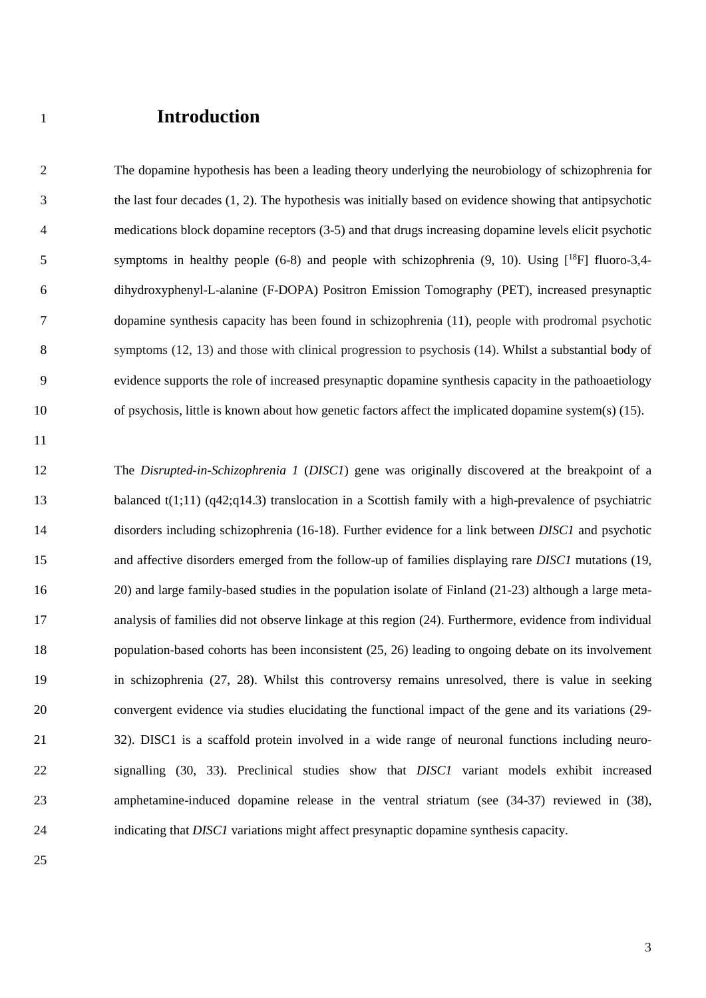### <sup>1</sup>**Introduction**

2 The dopamine hypothesis has been a leading theory underlying the neurobiology of schizophrenia for 3 the last four decades (1, 2). The hypothesis was initially based on evidence showing that antipsychotic 4 medications block dopamine receptors (3-5) and that drugs increasing dopamine levels elicit psychotic 5 symptoms in healthy people (6-8) and people with schizophrenia  $(9, 10)$ . Using  $[{}^{18}F]$  fluoro-3,4-6 dihydroxyphenyl-L-alanine (F-DOPA) Positron Emission Tomography (PET), increased presynaptic 7 dopamine synthesis capacity has been found in schizophrenia (11), people with prodromal psychotic 8 symptoms (12, 13) and those with clinical progression to psychosis (14). Whilst a substantial body of 9 evidence supports the role of increased presynaptic dopamine synthesis capacity in the pathoaetiology 10 of psychosis, little is known about how genetic factors affect the implicated dopamine system(s) (15).

11

12 The *Disrupted-in-Schizophrenia 1* (*DISC1*) gene was originally discovered at the breakpoint of a 13 balanced t(1;11) (q42;q14.3) translocation in a Scottish family with a high-prevalence of psychiatric 14 disorders including schizophrenia (16-18). Further evidence for a link between *DISC1* and psychotic 15 and affective disorders emerged from the follow-up of families displaying rare *DISC1* mutations (19, 16 20) and large family-based studies in the population isolate of Finland (21-23) although a large meta-17 analysis of families did not observe linkage at this region (24). Furthermore, evidence from individual 18 population-based cohorts has been inconsistent (25, 26) leading to ongoing debate on its involvement 19 in schizophrenia (27, 28). Whilst this controversy remains unresolved, there is value in seeking 20 convergent evidence via studies elucidating the functional impact of the gene and its variations (29- 21 32). DISC1 is a scaffold protein involved in a wide range of neuronal functions including neuro-22 signalling (30, 33). Preclinical studies show that *DISC1* variant models exhibit increased 23 amphetamine-induced dopamine release in the ventral striatum (see (34-37) reviewed in (38), 24 indicating that *DISC1* variations might affect presynaptic dopamine synthesis capacity.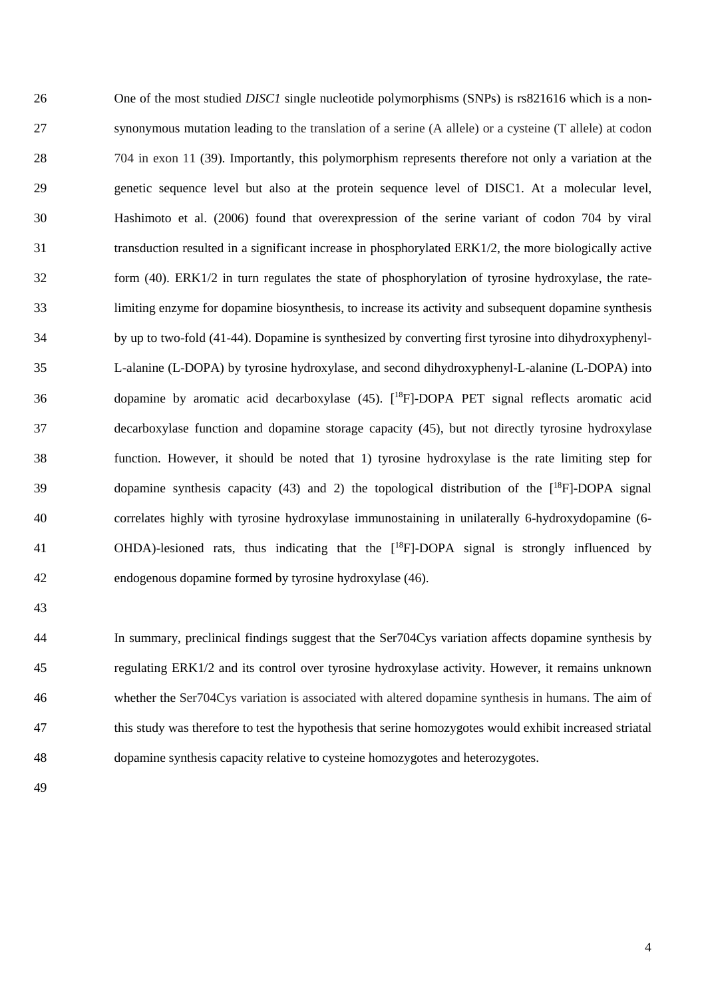26 One of the most studied *DISC1* single nucleotide polymorphisms (SNPs) is rs821616 which is a non-27 synonymous mutation leading to the translation of a serine (A allele) or a cysteine (T allele) at codon 28 704 in exon 11 (39). Importantly, this polymorphism represents therefore not only a variation at the 29 genetic sequence level but also at the protein sequence level of DISC1. At a molecular level, 30 Hashimoto et al. (2006) found that overexpression of the serine variant of codon 704 by viral 31 transduction resulted in a significant increase in phosphorylated ERK1/2, the more biologically active 32 form (40). ERK1/2 in turn regulates the state of phosphorylation of tyrosine hydroxylase, the rate-33 limiting enzyme for dopamine biosynthesis, to increase its activity and subsequent dopamine synthesis 34 by up to two-fold (41-44). Dopamine is synthesized by converting first tyrosine into dihydroxyphenyl-35 L-alanine (L-DOPA) by tyrosine hydroxylase, and second dihydroxyphenyl-L-alanine (L-DOPA) into  $36$  dopamine by aromatic acid decarboxylase (45). [<sup>18</sup>F]-DOPA PET signal reflects aromatic acid 37 decarboxylase function and dopamine storage capacity (45), but not directly tyrosine hydroxylase 38 function. However, it should be noted that 1) tyrosine hydroxylase is the rate limiting step for 39 dopamine synthesis capacity (43) and 2) the topological distribution of the  $[18F]$ -DOPA signal 40 correlates highly with tyrosine hydroxylase immunostaining in unilaterally 6-hydroxydopamine (6-  $OHDA$ -lesioned rats, thus indicating that the  $[{}^{18}F]$ -DOPA signal is strongly influenced by 42 endogenous dopamine formed by tyrosine hydroxylase (46).

43

44 In summary, preclinical findings suggest that the Ser704Cys variation affects dopamine synthesis by 45 regulating ERK1/2 and its control over tyrosine hydroxylase activity. However, it remains unknown 46 whether the Ser704Cys variation is associated with altered dopamine synthesis in humans. The aim of 47 this study was therefore to test the hypothesis that serine homozygotes would exhibit increased striatal 48 dopamine synthesis capacity relative to cysteine homozygotes and heterozygotes.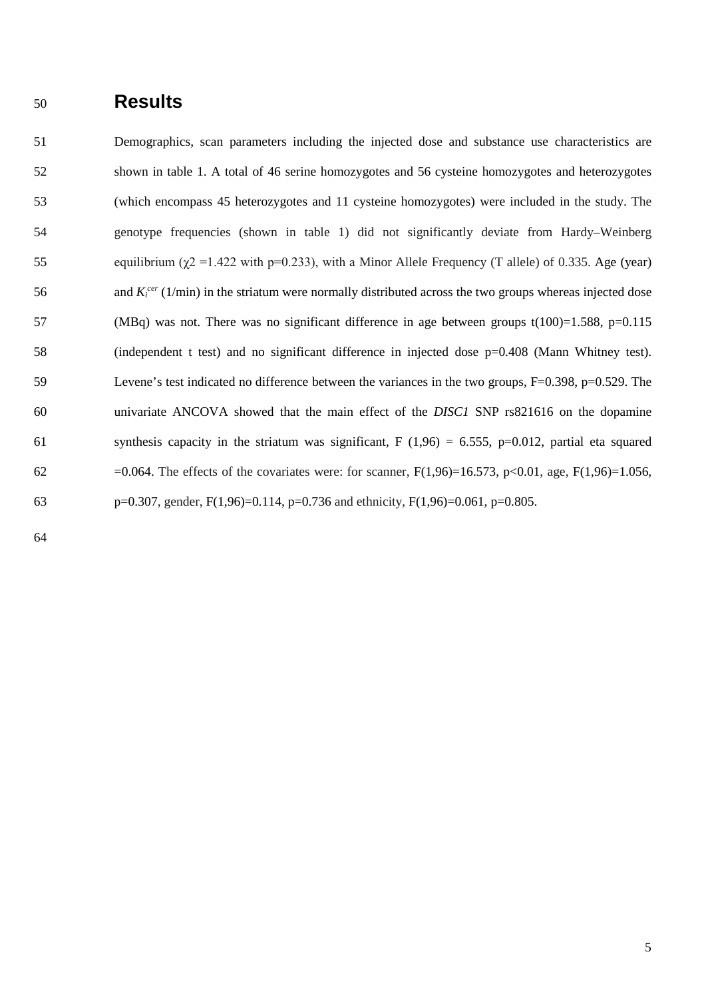### <sup>50</sup>**Results**

51 Demographics, scan parameters including the injected dose and substance use characteristics are 52 shown in table 1. A total of 46 serine homozygotes and 56 cysteine homozygotes and heterozygotes 53 (which encompass 45 heterozygotes and 11 cysteine homozygotes) were included in the study. The 54 genotype frequencies (shown in table 1) did not significantly deviate from Hardy–Weinberg 55 equilibrium ( $χ$ 2 = 1.422 with p=0.233), with a Minor Allele Frequency (T allele) of 0.335. Age (year) 56 and  $K_i^{cer}$  (1/min) in the striatum were normally distributed across the two groups whereas injected dose 57 (MBq) was not. There was no significant difference in age between groups t(100)=1.588, p=0.115 58 (independent t test) and no significant difference in injected dose p=0.408 (Mann Whitney test). 59 Levene's test indicated no difference between the variances in the two groups, F=0.398, p=0.529. The 60 univariate ANCOVA showed that the main effect of the *DISC1* SNP rs821616 on the dopamine 61 synthesis capacity in the striatum was significant, F (1,96) = 6.555, p=0.012, partial eta squared 62 =0.064. The effects of the covariates were: for scanner,  $F(1,96)=16.573$ ,  $p<0.01$ , age,  $F(1,96)=1.056$ , 63 p=0.307, gender, F(1,96)=0.114, p=0.736 and ethnicity, F(1,96)=0.061, p=0.805.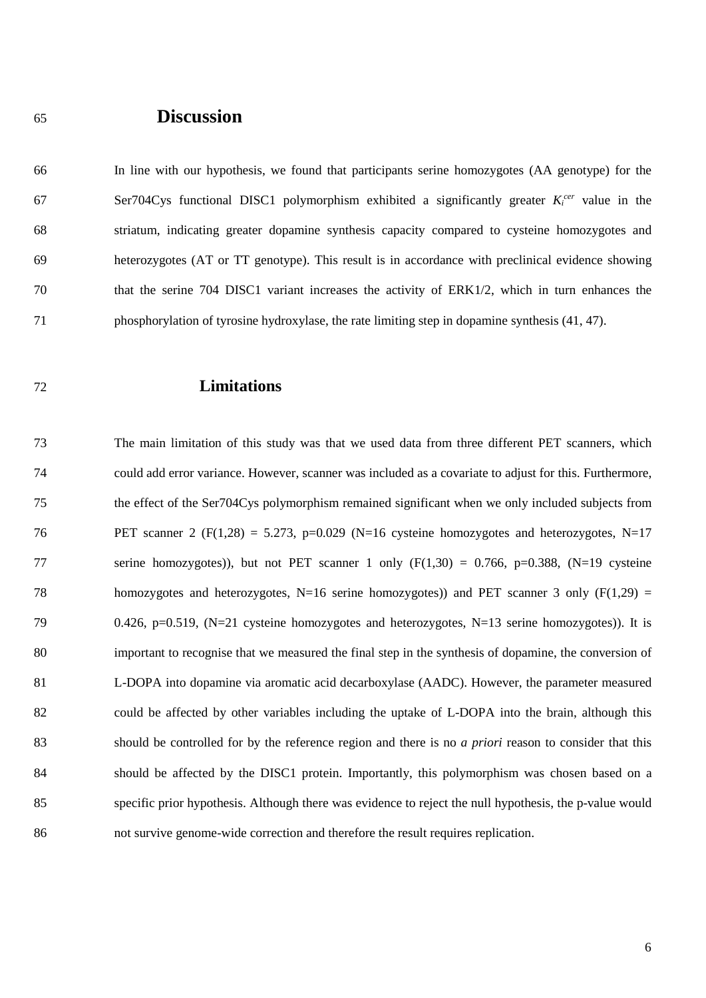### <sup>65</sup>**Discussion**

66 In line with our hypothesis, we found that participants serine homozygotes (AA genotype) for the Ser704Cys functional DISC1 polymorphism exhibited a significantly greater  $K_i^{cer}$  value in the 68 striatum, indicating greater dopamine synthesis capacity compared to cysteine homozygotes and 69 heterozygotes (AT or TT genotype). This result is in accordance with preclinical evidence showing 70 that the serine 704 DISC1 variant increases the activity of ERK1/2, which in turn enhances the 71 phosphorylation of tyrosine hydroxylase, the rate limiting step in dopamine synthesis (41, 47).

#### 72 **Limitations**

73 The main limitation of this study was that we used data from three different PET scanners, which 74 could add error variance. However, scanner was included as a covariate to adjust for this. Furthermore, 75 the effect of the Ser704Cys polymorphism remained significant when we only included subjects from 76 PET scanner 2 (F(1,28) = 5.273, p=0.029 (N=16 cysteine homozygotes and heterozygotes, N=17 77 serine homozygotes)), but not PET scanner 1 only (F(1,30) = 0.766, p=0.388, (N=19 cysteine 78 homozygotes and heterozygotes, N=16 serine homozygotes)) and PET scanner 3 only (F(1,29) = 79 0.426, p=0.519, (N=21 cysteine homozygotes and heterozygotes, N=13 serine homozygotes)). It is 80 important to recognise that we measured the final step in the synthesis of dopamine, the conversion of 81 L-DOPA into dopamine via aromatic acid decarboxylase (AADC). However, the parameter measured 82 could be affected by other variables including the uptake of L-DOPA into the brain, although this 83 should be controlled for by the reference region and there is no *a priori* reason to consider that this 84 should be affected by the DISC1 protein. Importantly, this polymorphism was chosen based on a 85 specific prior hypothesis. Although there was evidence to reject the null hypothesis, the p-value would 86 not survive genome-wide correction and therefore the result requires replication.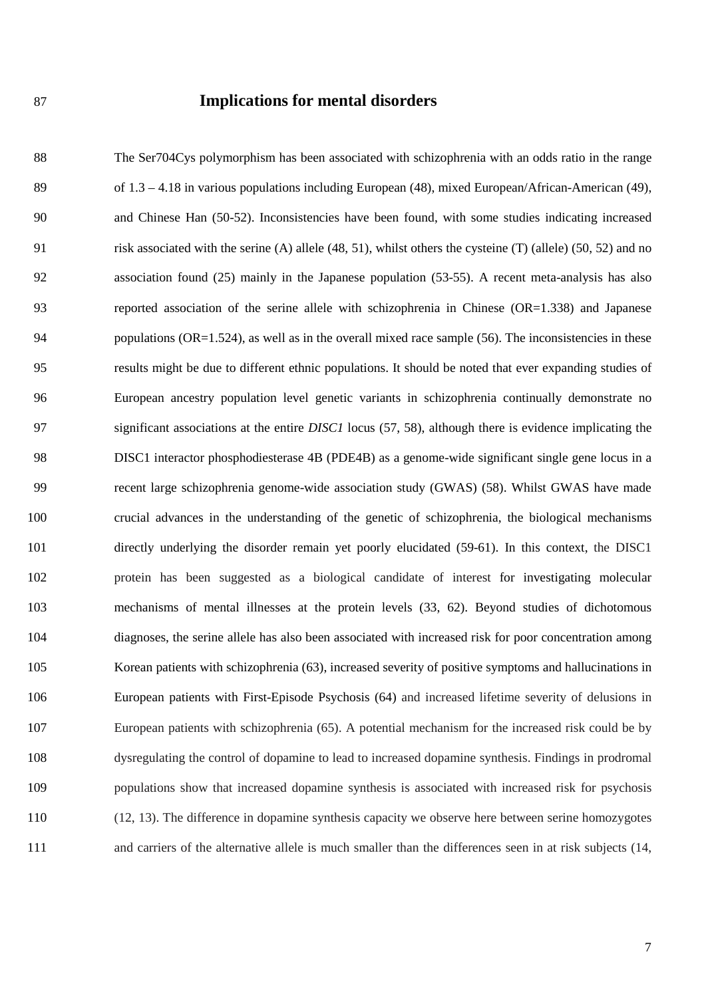#### 87 **Implications for mental disorders**

88 The Ser704Cys polymorphism has been associated with schizophrenia with an odds ratio in the range 89 of 1.3 – 4.18 in various populations including European (48), mixed European/African-American (49), 90 and Chinese Han (50-52). Inconsistencies have been found, with some studies indicating increased 91 risk associated with the serine (A) allele (48, 51), whilst others the cysteine (T) (allele) (50, 52) and no 92 association found (25) mainly in the Japanese population (53-55). A recent meta-analysis has also 93 reported association of the serine allele with schizophrenia in Chinese (OR=1.338) and Japanese 94 populations (OR=1.524), as well as in the overall mixed race sample (56). The inconsistencies in these 95 results might be due to different ethnic populations. It should be noted that ever expanding studies of 96 European ancestry population level genetic variants in schizophrenia continually demonstrate no 97 significant associations at the entire *DISC1* locus (57, 58), although there is evidence implicating the 98 DISC1 interactor phosphodiesterase 4B (PDE4B) as a genome-wide significant single gene locus in a 99 recent large schizophrenia genome-wide association study (GWAS) (58). Whilst GWAS have made 100 crucial advances in the understanding of the genetic of schizophrenia, the biological mechanisms 101 directly underlying the disorder remain yet poorly elucidated (59-61). In this context, the DISC1 102 protein has been suggested as a biological candidate of interest for investigating molecular 103 mechanisms of mental illnesses at the protein levels (33, 62). Beyond studies of dichotomous 104 diagnoses, the serine allele has also been associated with increased risk for poor concentration among 105 Korean patients with schizophrenia (63), increased severity of positive symptoms and hallucinations in 106 European patients with First-Episode Psychosis (64) and increased lifetime severity of delusions in 107 European patients with schizophrenia (65). A potential mechanism for the increased risk could be by 108 dysregulating the control of dopamine to lead to increased dopamine synthesis. Findings in prodromal 109 populations show that increased dopamine synthesis is associated with increased risk for psychosis 110 (12, 13). The difference in dopamine synthesis capacity we observe here between serine homozygotes 111 and carriers of the alternative allele is much smaller than the differences seen in at risk subjects (14,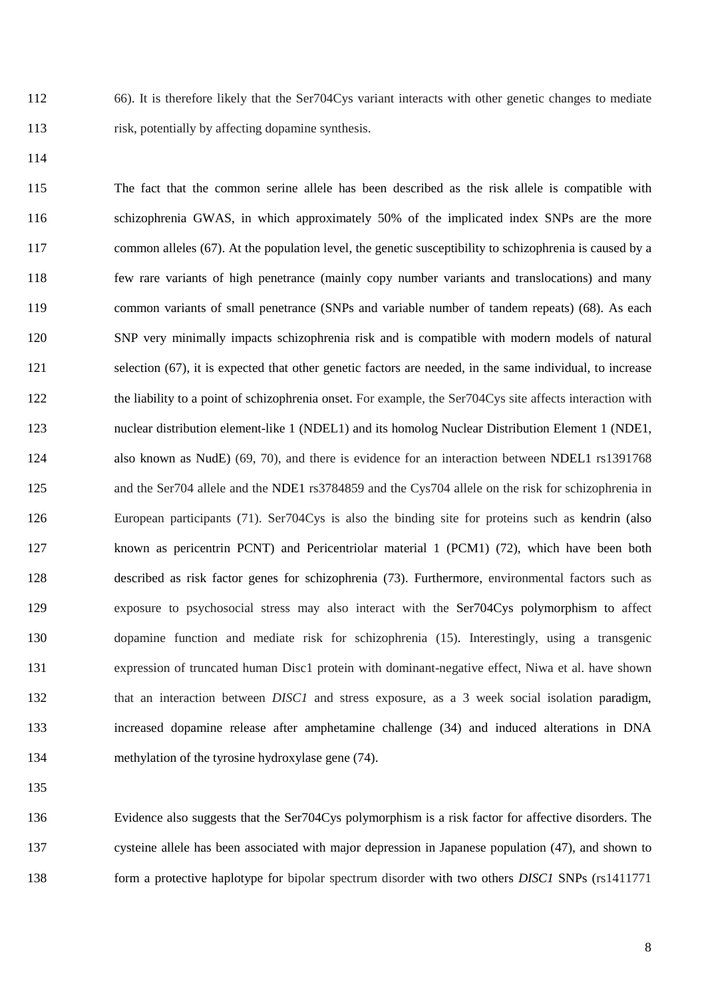112 66). It is therefore likely that the Ser704Cys variant interacts with other genetic changes to mediate 113 risk, potentially by affecting dopamine synthesis.

114

115 The fact that the common serine allele has been described as the risk allele is compatible with 116 schizophrenia GWAS, in which approximately 50% of the implicated index SNPs are the more 117 common alleles (67). At the population level, the genetic susceptibility to schizophrenia is caused by a 118 few rare variants of high penetrance (mainly copy number variants and translocations) and many 119 common variants of small penetrance (SNPs and variable number of tandem repeats) (68). As each 120 SNP very minimally impacts schizophrenia risk and is compatible with modern models of natural 121 selection (67), it is expected that other genetic factors are needed, in the same individual, to increase 122 the liability to a point of schizophrenia onset. For example, the Ser704Cys site affects interaction with 123 nuclear distribution element-like 1 (NDEL1) and its homolog Nuclear Distribution Element 1 (NDE1, 124 also known as NudE) (69, 70), and there is evidence for an interaction between NDEL1 rs1391768 125 and the Ser704 allele and the NDE1 rs3784859 and the Cys704 allele on the risk for schizophrenia in 126 European participants (71). Ser704Cys is also the binding site for proteins such as kendrin (also 127 known as pericentrin PCNT) and Pericentriolar material 1 (PCM1) (72), which have been both 128 described as risk factor genes for schizophrenia (73). Furthermore, environmental factors such as 129 exposure to psychosocial stress may also interact with the Ser704Cys polymorphism to affect 130 dopamine function and mediate risk for schizophrenia (15). Interestingly, using a transgenic 131 expression of truncated human Disc1 protein with dominant-negative effect, Niwa et al. have shown 132 that an interaction between *DISC1* and stress exposure, as a 3 week social isolation paradigm, 133 increased dopamine release after amphetamine challenge (34) and induced alterations in DNA 134 methylation of the tyrosine hydroxylase gene (74).

135

136 Evidence also suggests that the Ser704Cys polymorphism is a risk factor for affective disorders. The 137 cysteine allele has been associated with major depression in Japanese population (47), and shown to 138 form a protective haplotype for bipolar spectrum disorder with two others *DISC1* SNPs (rs1411771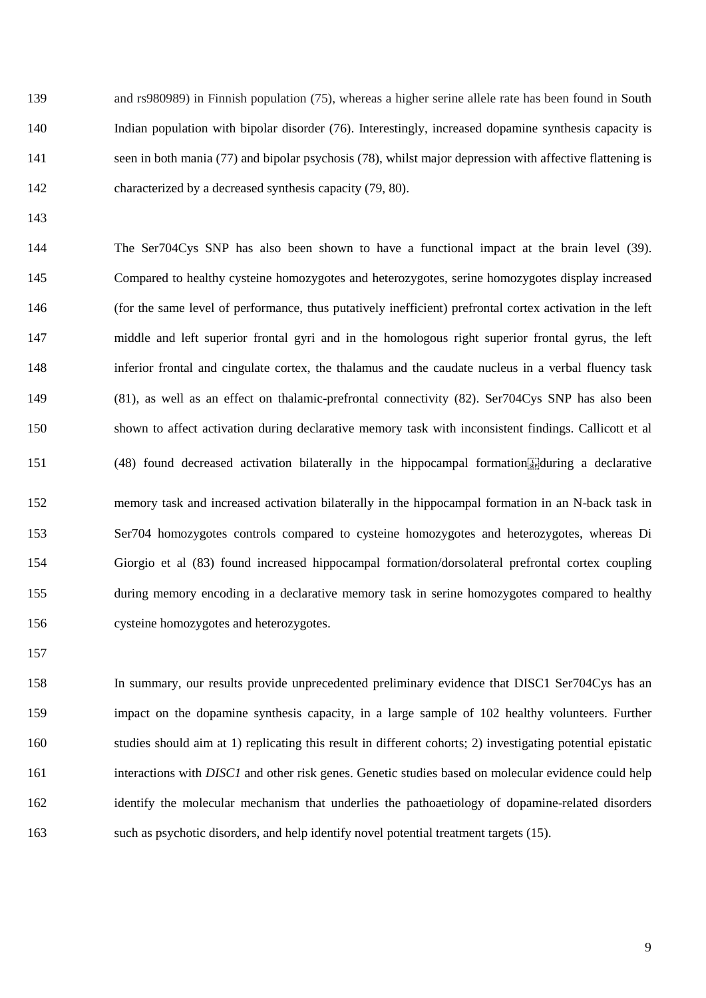139 and rs980989) in Finnish population (75), whereas a higher serine allele rate has been found in South 140 Indian population with bipolar disorder (76). Interestingly, increased dopamine synthesis capacity is 141 seen in both mania (77) and bipolar psychosis (78), whilst major depression with affective flattening is 142 characterized by a decreased synthesis capacity (79, 80).

143

144 The Ser704Cys SNP has also been shown to have a functional impact at the brain level (39). 145 Compared to healthy cysteine homozygotes and heterozygotes, serine homozygotes display increased 146 (for the same level of performance, thus putatively inefficient) prefrontal cortex activation in the left 147 middle and left superior frontal gyri and in the homologous right superior frontal gyrus, the left 148 inferior frontal and cingulate cortex, the thalamus and the caudate nucleus in a verbal fluency task 149 (81), as well as an effect on thalamic-prefrontal connectivity (82). Ser704Cys SNP has also been 150 shown to affect activation during declarative memory task with inconsistent findings. Callicott et al 151 (48) found decreased activation bilaterally in the hippocampal formation. 152 memory task and increased activation bilaterally in the hippocampal formation in an N-back task in 153 Ser704 homozygotes controls compared to cysteine homozygotes and heterozygotes, whereas Di 154 Giorgio et al (83) found increased hippocampal formation/dorsolateral prefrontal cortex coupling 155 during memory encoding in a declarative memory task in serine homozygotes compared to healthy 156 cysteine homozygotes and heterozygotes.

157

158 In summary, our results provide unprecedented preliminary evidence that DISC1 Ser704Cys has an 159 impact on the dopamine synthesis capacity, in a large sample of 102 healthy volunteers. Further 160 studies should aim at 1) replicating this result in different cohorts; 2) investigating potential epistatic 161 interactions with *DISC1* and other risk genes. Genetic studies based on molecular evidence could help 162 identify the molecular mechanism that underlies the pathoaetiology of dopamine-related disorders 163 such as psychotic disorders, and help identify novel potential treatment targets (15).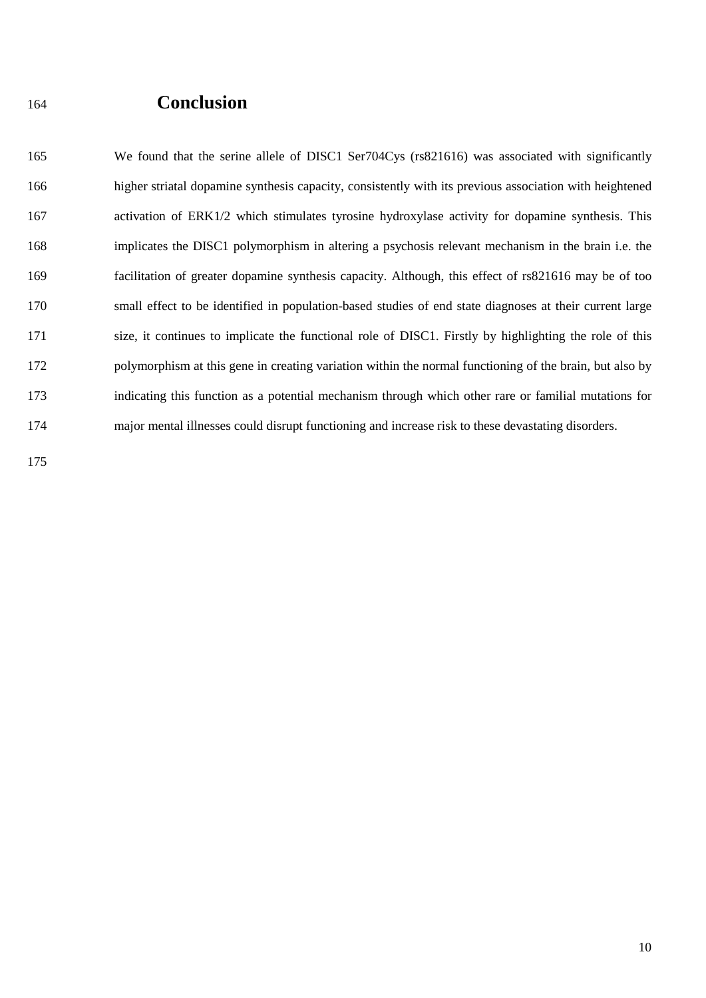### <sup>164</sup>**Conclusion**

165 We found that the serine allele of DISC1 Ser704Cys (rs821616) was associated with significantly 166 higher striatal dopamine synthesis capacity, consistently with its previous association with heightened 167 activation of ERK1/2 which stimulates tyrosine hydroxylase activity for dopamine synthesis. This 168 implicates the DISC1 polymorphism in altering a psychosis relevant mechanism in the brain i.e. the 169 facilitation of greater dopamine synthesis capacity. Although, this effect of rs821616 may be of too 170 small effect to be identified in population-based studies of end state diagnoses at their current large 171 size, it continues to implicate the functional role of DISC1. Firstly by highlighting the role of this 172 polymorphism at this gene in creating variation within the normal functioning of the brain, but also by 173 indicating this function as a potential mechanism through which other rare or familial mutations for 174 major mental illnesses could disrupt functioning and increase risk to these devastating disorders.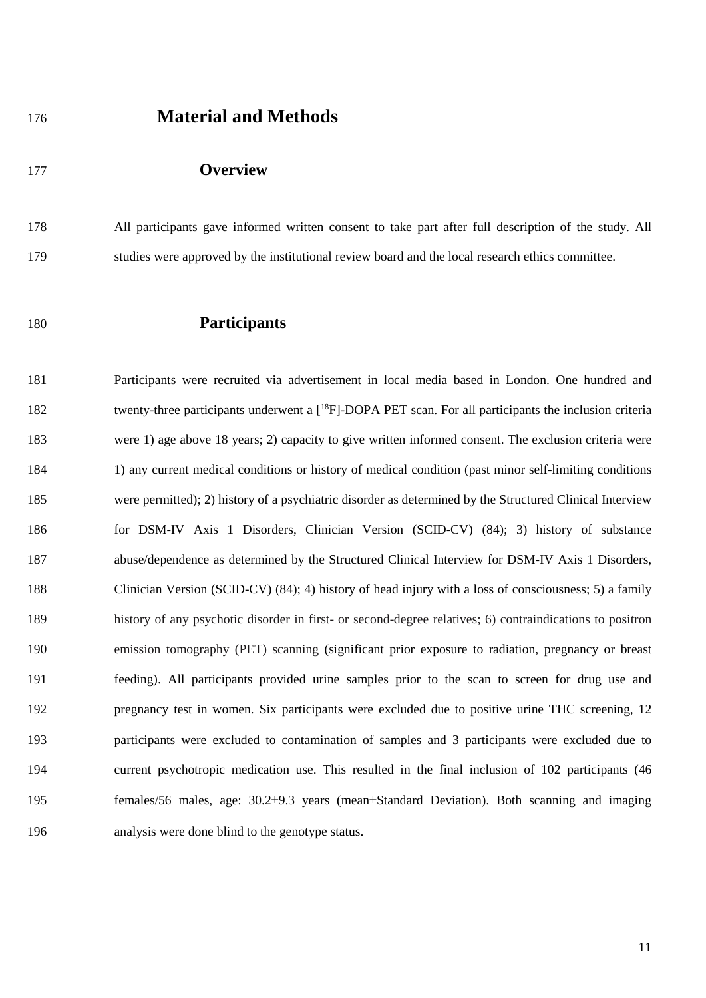### <sup>176</sup>**Material and Methods**

#### 177 **Overview**

178 All participants gave informed written consent to take part after full description of the study. All 179 studies were approved by the institutional review board and the local research ethics committee.

#### 180 **Participants**

181 Participants were recruited via advertisement in local media based in London. One hundred and 182 twenty-three participants underwent a  $[18F]$ -DOPA PET scan. For all participants the inclusion criteria 183 were 1) age above 18 years; 2) capacity to give written informed consent. The exclusion criteria were 184 1) any current medical conditions or history of medical condition (past minor self-limiting conditions 185 were permitted); 2) history of a psychiatric disorder as determined by the Structured Clinical Interview 186 for DSM-IV Axis 1 Disorders, Clinician Version (SCID-CV) (84); 3) history of substance 187 abuse/dependence as determined by the Structured Clinical Interview for DSM-IV Axis 1 Disorders, 188 Clinician Version (SCID-CV) (84); 4) history of head injury with a loss of consciousness; 5) a family 189 history of any psychotic disorder in first- or second-degree relatives; 6) contraindications to positron 190 emission tomography (PET) scanning (significant prior exposure to radiation, pregnancy or breast 191 feeding). All participants provided urine samples prior to the scan to screen for drug use and 192 pregnancy test in women. Six participants were excluded due to positive urine THC screening, 12 193 participants were excluded to contamination of samples and 3 participants were excluded due to 194 current psychotropic medication use. This resulted in the final inclusion of 102 participants (46 195 females/56 males, age: 30.2 $\pm$ 9.3 years (mean $\pm$ Standard Deviation). Both scanning and imaging 196 analysis were done blind to the genotype status.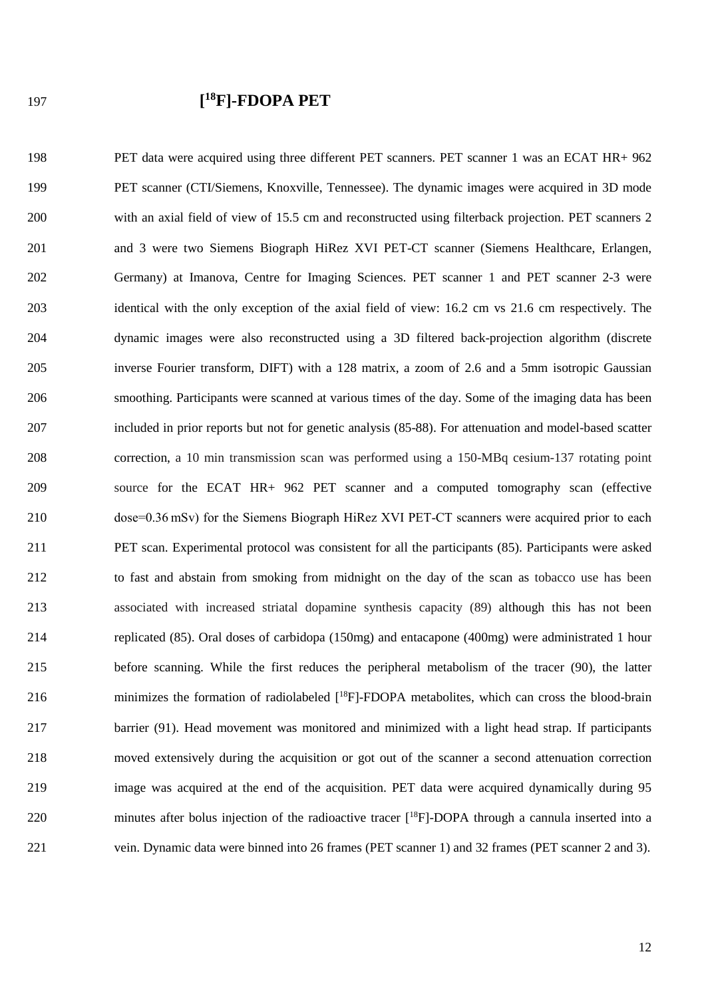### **[ <sup>18</sup>** 197 **F]-FDOPA PET**

198 PET data were acquired using three different PET scanners. PET scanner 1 was an ECAT HR+ 962 199 PET scanner (CTI/Siemens, Knoxville, Tennessee). The dynamic images were acquired in 3D mode 200 with an axial field of view of 15.5 cm and reconstructed using filterback projection. PET scanners 2 201 and 3 were two Siemens Biograph HiRez XVI PET-CT scanner (Siemens Healthcare, Erlangen, 202 Germany) at Imanova, Centre for Imaging Sciences. PET scanner 1 and PET scanner 2-3 were 203 identical with the only exception of the axial field of view: 16.2 cm vs 21.6 cm respectively. The 204 dynamic images were also reconstructed using a 3D filtered back-projection algorithm (discrete 205 inverse Fourier transform, DIFT) with a 128 matrix, a zoom of 2.6 and a 5mm isotropic Gaussian 206 smoothing. Participants were scanned at various times of the day. Some of the imaging data has been 207 included in prior reports but not for genetic analysis (85-88). For attenuation and model-based scatter 208 correction, a 10 min transmission scan was performed using a 150-MBq cesium-137 rotating point 209 source for the ECAT HR+ 962 PET scanner and a computed tomography scan (effective 210 dose=0.36 mSv) for the Siemens Biograph HiRez XVI PET-CT scanners were acquired prior to each 211 PET scan. Experimental protocol was consistent for all the participants (85). Participants were asked 212 to fast and abstain from smoking from midnight on the day of the scan as tobacco use has been 213 associated with increased striatal dopamine synthesis capacity (89) although this has not been 214 replicated (85). Oral doses of carbidopa (150mg) and entacapone (400mg) were administrated 1 hour 215 before scanning. While the first reduces the peripheral metabolism of the tracer (90), the latter 216 minimizes the formation of radiolabeled  $[{}^{18}F]$ -FDOPA metabolites, which can cross the blood-brain 217 barrier (91). Head movement was monitored and minimized with a light head strap. If participants 218 moved extensively during the acquisition or got out of the scanner a second attenuation correction 219 image was acquired at the end of the acquisition. PET data were acquired dynamically during 95 220 minutes after bolus injection of the radioactive tracer  $[{}^{18}F]$ -DOPA through a cannula inserted into a 221 vein. Dynamic data were binned into 26 frames (PET scanner 1) and 32 frames (PET scanner 2 and 3).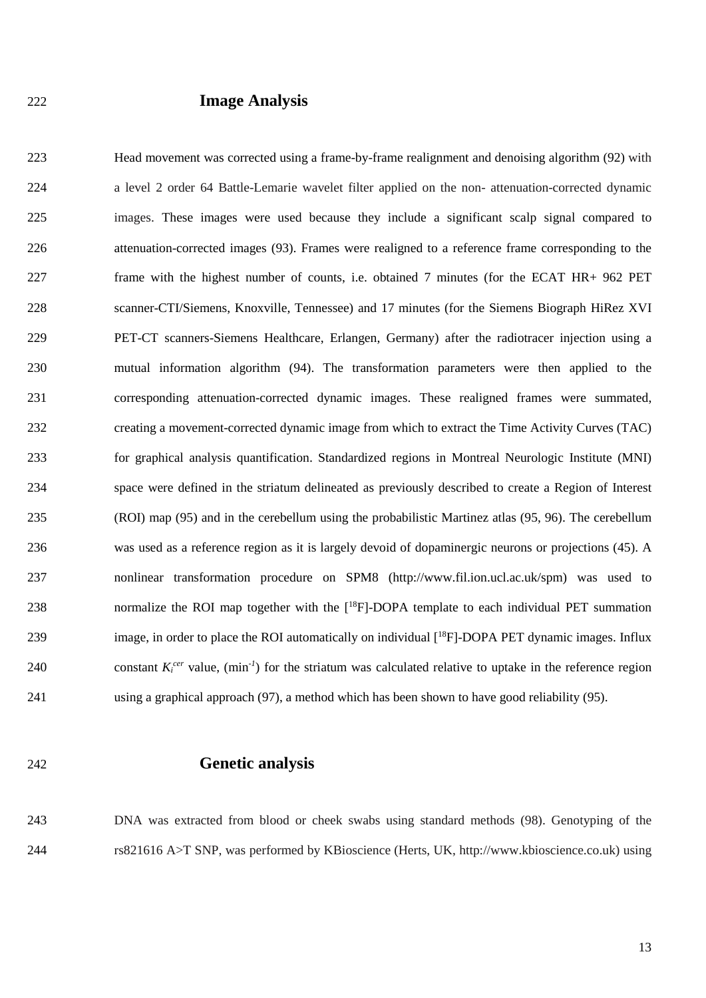#### 222 **Image Analysis**

223 Head movement was corrected using a frame-by-frame realignment and denoising algorithm (92) with 224 a level 2 order 64 Battle-Lemarie wavelet filter applied on the non- attenuation-corrected dynamic 225 images. These images were used because they include a significant scalp signal compared to 226 attenuation-corrected images (93). Frames were realigned to a reference frame corresponding to the 227 frame with the highest number of counts, i.e. obtained 7 minutes (for the ECAT HR+ 962 PET 228 scanner-CTI/Siemens, Knoxville, Tennessee) and 17 minutes (for the Siemens Biograph HiRez XVI 229 PET-CT scanners-Siemens Healthcare, Erlangen, Germany) after the radiotracer injection using a 230 mutual information algorithm (94). The transformation parameters were then applied to the 231 corresponding attenuation-corrected dynamic images. These realigned frames were summated, 232 creating a movement-corrected dynamic image from which to extract the Time Activity Curves (TAC) 233 for graphical analysis quantification. Standardized regions in Montreal Neurologic Institute (MNI) 234 space were defined in the striatum delineated as previously described to create a Region of Interest 235 (ROI) map (95) and in the cerebellum using the probabilistic Martinez atlas (95, 96). The cerebellum 236 was used as a reference region as it is largely devoid of dopaminergic neurons or projections (45). A 237 nonlinear transformation procedure on SPM8 (http://www.fil.ion.ucl.ac.uk/spm) was used to 238 normalize the ROI map together with the  $[{}^{18}F]$ -DOPA template to each individual PET summation 239 image, in order to place the ROI automatically on individual  $[{}^{18}F]$ -DOPA PET dynamic images. Influx 240 constant  $K_i^{cer}$  value,  $(min^{-1})$  for the striatum was calculated relative to uptake in the reference region 241 using a graphical approach (97), a method which has been shown to have good reliability (95).

#### 242 **Genetic analysis**

243 DNA was extracted from blood or cheek swabs using standard methods (98). Genotyping of the 244 rs821616 A>T SNP, was performed by KBioscience (Herts, UK, http://www.kbioscience.co.uk) using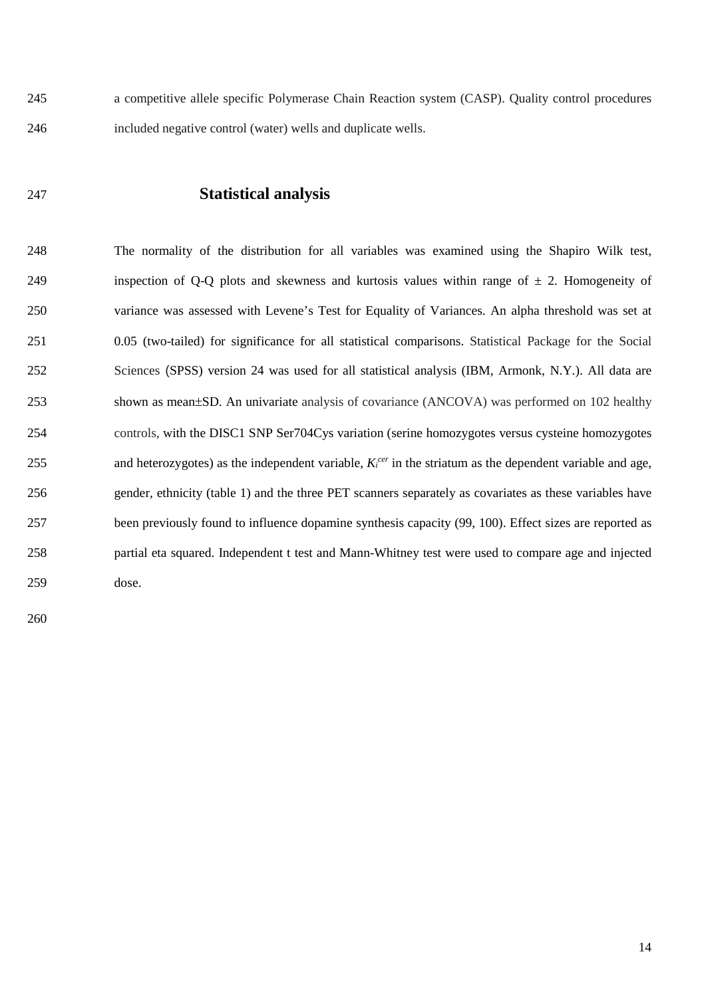245 a competitive allele specific Polymerase Chain Reaction system (CASP). Quality control procedures 246 included negative control (water) wells and duplicate wells.

247 **Statistical analysis** 

248 The normality of the distribution for all variables was examined using the Shapiro Wilk test, 249 inspection of Q-Q plots and skewness and kurtosis values within range of  $\pm$  2. Homogeneity of 250 variance was assessed with Levene's Test for Equality of Variances. An alpha threshold was set at 251 0.05 (two-tailed) for significance for all statistical comparisons. Statistical Package for the Social 252 Sciences (SPSS) version 24 was used for all statistical analysis (IBM, Armonk, N.Y.). All data are 253 shown as mean±SD. An univariate analysis of covariance (ANCOVA) was performed on 102 healthy 254 controls, with the DISC1 SNP Ser704Cys variation (serine homozygotes versus cysteine homozygotes 255 and heterozygotes) as the independent variable,  $K_i^{cer}$  in the striatum as the dependent variable and age, 256 gender, ethnicity (table 1) and the three PET scanners separately as covariates as these variables have 257 been previously found to influence dopamine synthesis capacity (99, 100). Effect sizes are reported as 258 partial eta squared. Independent t test and Mann-Whitney test were used to compare age and injected 259 dose.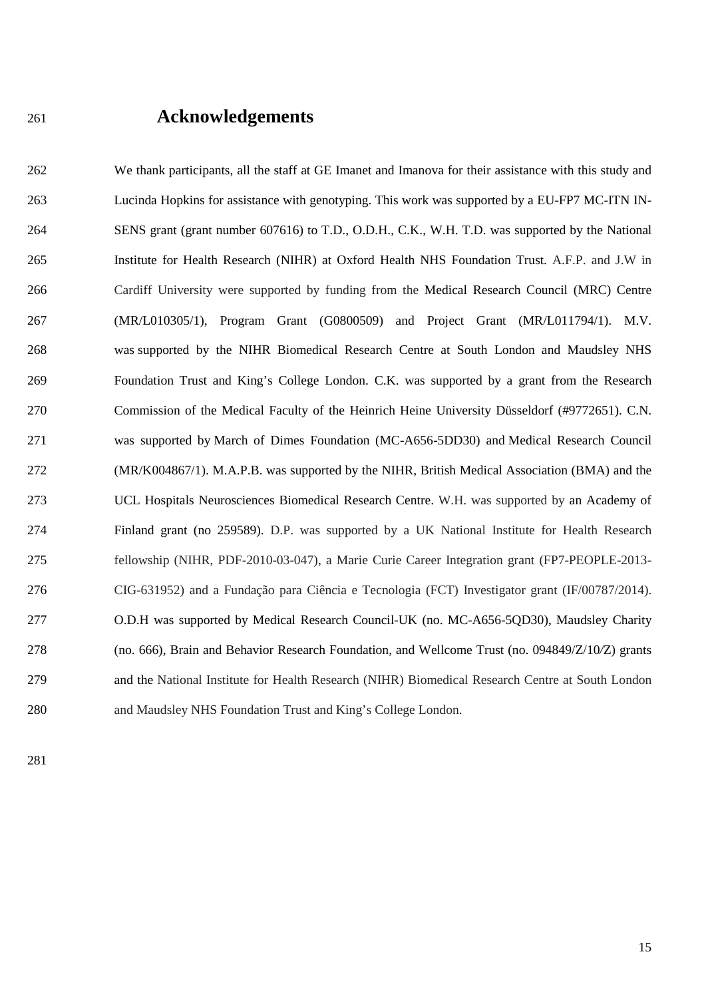### <sup>261</sup>**Acknowledgements**

262 We thank participants, all the staff at GE Imanet and Imanova for their assistance with this study and 263 Lucinda Hopkins for assistance with genotyping. This work was supported by a EU-FP7 MC-ITN IN-264 SENS grant (grant number 607616) to T.D., O.D.H., C.K., W.H. T.D. was supported by the National 265 Institute for Health Research (NIHR) at Oxford Health NHS Foundation Trust. A.F.P. and J.W in 266 Cardiff University were supported by funding from the Medical Research Council (MRC) Centre 267 (MR/L010305/1), Program Grant (G0800509) and Project Grant (MR/L011794/1). M.V. 268 was supported by the NIHR Biomedical Research Centre at South London and Maudsley NHS 269 Foundation Trust and King's College London. C.K. was supported by a grant from the Research 270 Commission of the Medical Faculty of the Heinrich Heine University Düsseldorf (#9772651). C.N. 271 was supported by March of Dimes Foundation (MC-A656-5DD30) and Medical Research Council 272 (MR/K004867/1). M.A.P.B. was supported by the NIHR, British Medical Association (BMA) and the 273 UCL Hospitals Neurosciences Biomedical Research Centre. W.H. was supported by an Academy of 274 Finland grant (no 259589). D.P. was supported by a UK National Institute for Health Research 275 fellowship (NIHR, PDF-2010-03-047), a Marie Curie Career Integration grant (FP7-PEOPLE-2013- 276 CIG-631952) and a Fundação para Ciência e Tecnologia (FCT) Investigator grant (IF/00787/2014). 277 O.D.H was supported by Medical Research Council-UK (no. MC-A656-5QD30), Maudsley Charity 278 (no. 666), Brain and Behavior Research Foundation, and Wellcome Trust (no. 094849/Z/10*/*Z) grants 279 and the National Institute for Health Research (NIHR) Biomedical Research Centre at South London 280 and Maudsley NHS Foundation Trust and King's College London.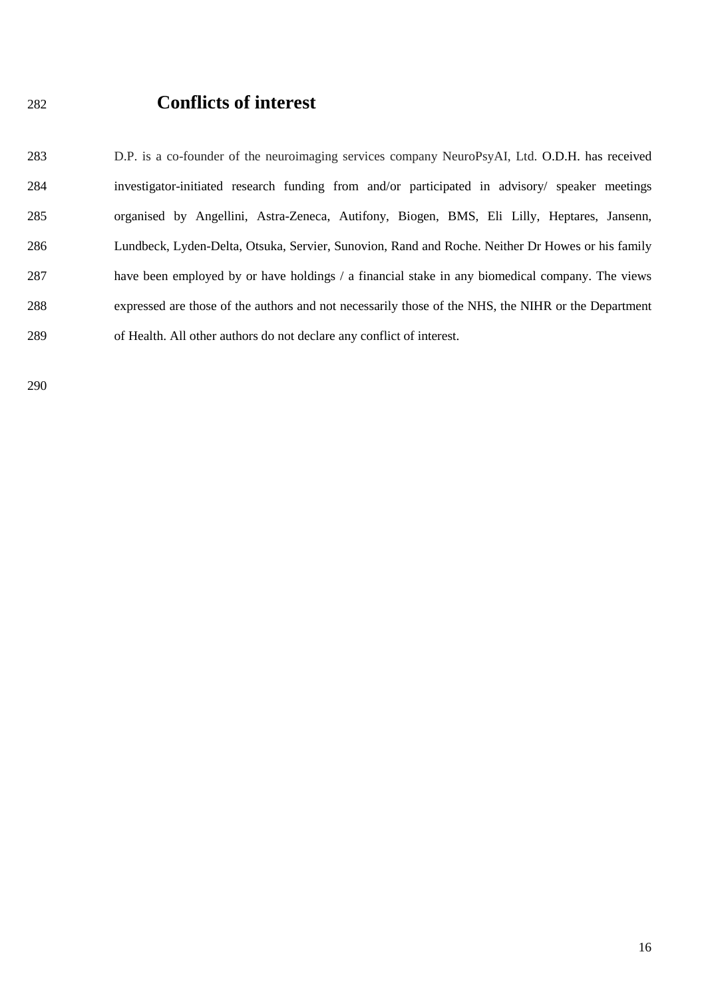### <sup>282</sup>**Conflicts of interest**

283 D.P. is a co-founder of the neuroimaging services company NeuroPsyAI, Ltd. O.D.H. has received 284 investigator-initiated research funding from and/or participated in advisory/ speaker meetings 285 organised by Angellini, Astra-Zeneca, Autifony, Biogen, BMS, Eli Lilly, Heptares, Jansenn, 286 Lundbeck, Lyden-Delta, Otsuka, Servier, Sunovion, Rand and Roche. Neither Dr Howes or his family 287 have been employed by or have holdings / a financial stake in any biomedical company. The views 288 expressed are those of the authors and not necessarily those of the NHS, the NIHR or the Department 289 of Health. All other authors do not declare any conflict of interest.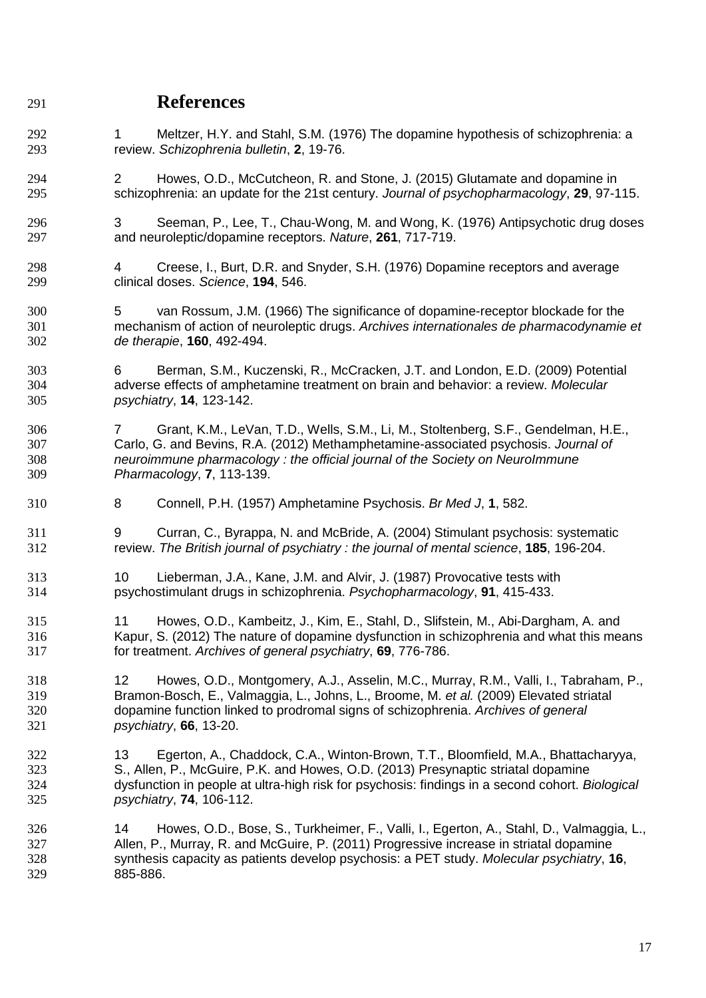### **References**

- 292 1 Meltzer, H.Y. and Stahl, S.M. (1976) The dopamine hypothesis of schizophrenia: a review. *Schizophrenia bulletin*, **2**, 19-76.
- 2 Howes, O.D., McCutcheon, R. and Stone, J. (2015) Glutamate and dopamine in schizophrenia: an update for the 21st century. *Journal of psychopharmacology*, **29**, 97-115.
- 3 Seeman, P., Lee, T., Chau-Wong, M. and Wong, K. (1976) Antipsychotic drug doses and neuroleptic/dopamine receptors. *Nature*, **261**, 717-719.
- 4 Creese, I., Burt, D.R. and Snyder, S.H. (1976) Dopamine receptors and average clinical doses. *Science*, **194**, 546.
- 5 van Rossum, J.M. (1966) The significance of dopamine-receptor blockade for the mechanism of action of neuroleptic drugs. *Archives internationales de pharmacodynamie et de therapie*, **160**, 492-494.
- 6 Berman, S.M., Kuczenski, R., McCracken, J.T. and London, E.D. (2009) Potential adverse effects of amphetamine treatment on brain and behavior: a review. *Molecular psychiatry*, **14**, 123-142.
- 7 Grant, K.M., LeVan, T.D., Wells, S.M., Li, M., Stoltenberg, S.F., Gendelman, H.E., Carlo, G. and Bevins, R.A. (2012) Methamphetamine-associated psychosis. *Journal of neuroimmune pharmacology : the official journal of the Society on NeuroImmune Pharmacology*, **7**, 113-139.
- 8 Connell, P.H. (1957) Amphetamine Psychosis. *Br Med J*, **1**, 582.
- 9 Curran, C., Byrappa, N. and McBride, A. (2004) Stimulant psychosis: systematic review. *The British journal of psychiatry : the journal of mental science*, **185**, 196-204.
- 10 Lieberman, J.A., Kane, J.M. and Alvir, J. (1987) Provocative tests with psychostimulant drugs in schizophrenia. *Psychopharmacology*, **91**, 415-433.
- 11 Howes, O.D., Kambeitz, J., Kim, E., Stahl, D., Slifstein, M., Abi-Dargham, A. and Kapur, S. (2012) The nature of dopamine dysfunction in schizophrenia and what this means for treatment. *Archives of general psychiatry*, **69**, 776-786.
- 12 Howes, O.D., Montgomery, A.J., Asselin, M.C., Murray, R.M., Valli, I., Tabraham, P., Bramon-Bosch, E., Valmaggia, L., Johns, L., Broome, M. *et al.* (2009) Elevated striatal dopamine function linked to prodromal signs of schizophrenia. *Archives of general psychiatry*, **66**, 13-20.
- 13 Egerton, A., Chaddock, C.A., Winton-Brown, T.T., Bloomfield, M.A., Bhattacharyya, S., Allen, P., McGuire, P.K. and Howes, O.D. (2013) Presynaptic striatal dopamine dysfunction in people at ultra-high risk for psychosis: findings in a second cohort. *Biological psychiatry*, **74**, 106-112.
- 14 Howes, O.D., Bose, S., Turkheimer, F., Valli, I., Egerton, A., Stahl, D., Valmaggia, L., Allen, P., Murray, R. and McGuire, P. (2011) Progressive increase in striatal dopamine synthesis capacity as patients develop psychosis: a PET study. *Molecular psychiatry*, **16**, 885-886.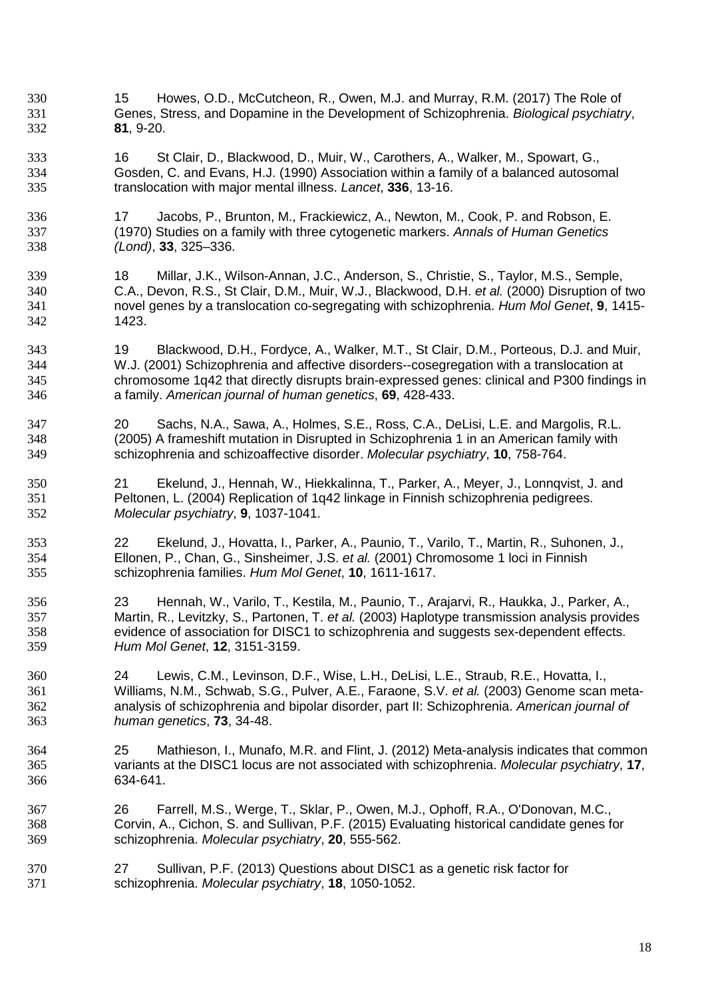- 15 Howes, O.D., McCutcheon, R., Owen, M.J. and Murray, R.M. (2017) The Role of Genes, Stress, and Dopamine in the Development of Schizophrenia. *Biological psychiatry*, **81**, 9-20.
- 16 St Clair, D., Blackwood, D., Muir, W., Carothers, A., Walker, M., Spowart, G., Gosden, C. and Evans, H.J. (1990) Association within a family of a balanced autosomal translocation with major mental illness. *Lancet*, **336**, 13-16.
- 17 Jacobs, P., Brunton, M., Frackiewicz, A., Newton, M., Cook, P. and Robson, E. (1970) Studies on a family with three cytogenetic markers. *Annals of Human Genetics (Lond)*, **33**, 325–336.
- 18 Millar, J.K., Wilson-Annan, J.C., Anderson, S., Christie, S., Taylor, M.S., Semple, C.A., Devon, R.S., St Clair, D.M., Muir, W.J., Blackwood, D.H. *et al.* (2000) Disruption of two novel genes by a translocation co-segregating with schizophrenia. *Hum Mol Genet*, **9**, 1415- 1423.
- 19 Blackwood, D.H., Fordyce, A., Walker, M.T., St Clair, D.M., Porteous, D.J. and Muir, W.J. (2001) Schizophrenia and affective disorders--cosegregation with a translocation at chromosome 1q42 that directly disrupts brain-expressed genes: clinical and P300 findings in a family. *American journal of human genetics*, **69**, 428-433.
- 20 Sachs, N.A., Sawa, A., Holmes, S.E., Ross, C.A., DeLisi, L.E. and Margolis, R.L. (2005) A frameshift mutation in Disrupted in Schizophrenia 1 in an American family with schizophrenia and schizoaffective disorder. *Molecular psychiatry*, **10**, 758-764.
- 21 Ekelund, J., Hennah, W., Hiekkalinna, T., Parker, A., Meyer, J., Lonnqvist, J. and Peltonen, L. (2004) Replication of 1q42 linkage in Finnish schizophrenia pedigrees. *Molecular psychiatry*, **9**, 1037-1041.
- 22 Ekelund, J., Hovatta, I., Parker, A., Paunio, T., Varilo, T., Martin, R., Suhonen, J., Ellonen, P., Chan, G., Sinsheimer, J.S. *et al.* (2001) Chromosome 1 loci in Finnish schizophrenia families. *Hum Mol Genet*, **10**, 1611-1617.
- 23 Hennah, W., Varilo, T., Kestila, M., Paunio, T., Arajarvi, R., Haukka, J., Parker, A., Martin, R., Levitzky, S., Partonen, T. *et al.* (2003) Haplotype transmission analysis provides evidence of association for DISC1 to schizophrenia and suggests sex-dependent effects. *Hum Mol Genet*, **12**, 3151-3159.
- 24 Lewis, C.M., Levinson, D.F., Wise, L.H., DeLisi, L.E., Straub, R.E., Hovatta, I., Williams, N.M., Schwab, S.G., Pulver, A.E., Faraone, S.V. *et al.* (2003) Genome scan meta-analysis of schizophrenia and bipolar disorder, part II: Schizophrenia. *American journal of human genetics*, **73**, 34-48.
- 25 Mathieson, I., Munafo, M.R. and Flint, J. (2012) Meta-analysis indicates that common variants at the DISC1 locus are not associated with schizophrenia. *Molecular psychiatry*, **17**, 634-641.
- 26 Farrell, M.S., Werge, T., Sklar, P., Owen, M.J., Ophoff, R.A., O'Donovan, M.C., Corvin, A., Cichon, S. and Sullivan, P.F. (2015) Evaluating historical candidate genes for schizophrenia. *Molecular psychiatry*, **20**, 555-562.
- 27 Sullivan, P.F. (2013) Questions about DISC1 as a genetic risk factor for schizophrenia. *Molecular psychiatry*, **18**, 1050-1052.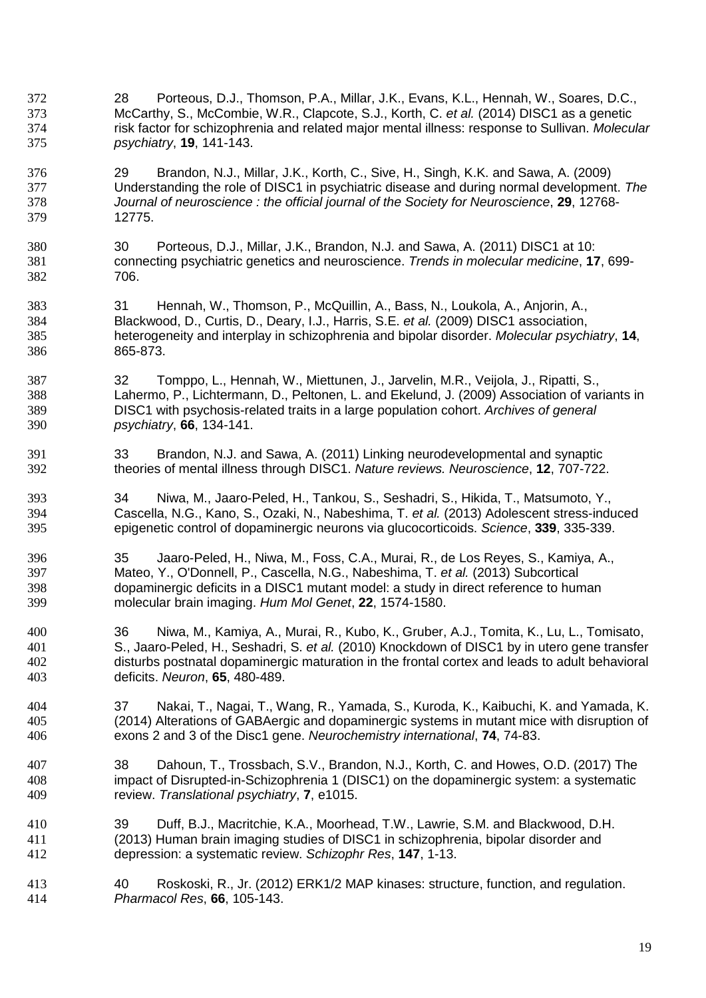- 28 Porteous, D.J., Thomson, P.A., Millar, J.K., Evans, K.L., Hennah, W., Soares, D.C., McCarthy, S., McCombie, W.R., Clapcote, S.J., Korth, C. *et al.* (2014) DISC1 as a genetic risk factor for schizophrenia and related major mental illness: response to Sullivan. *Molecular psychiatry*, **19**, 141-143.
- 29 Brandon, N.J., Millar, J.K., Korth, C., Sive, H., Singh, K.K. and Sawa, A. (2009) Understanding the role of DISC1 in psychiatric disease and during normal development. *The Journal of neuroscience : the official journal of the Society for Neuroscience*, **29**, 12768- 12775.
- 30 Porteous, D.J., Millar, J.K., Brandon, N.J. and Sawa, A. (2011) DISC1 at 10: connecting psychiatric genetics and neuroscience. *Trends in molecular medicine*, **17**, 699- 706.
- 31 Hennah, W., Thomson, P., McQuillin, A., Bass, N., Loukola, A., Anjorin, A., Blackwood, D., Curtis, D., Deary, I.J., Harris, S.E. *et al.* (2009) DISC1 association, heterogeneity and interplay in schizophrenia and bipolar disorder. *Molecular psychiatry*, **14**, 865-873.
- 32 Tomppo, L., Hennah, W., Miettunen, J., Jarvelin, M.R., Veijola, J., Ripatti, S., Lahermo, P., Lichtermann, D., Peltonen, L. and Ekelund, J. (2009) Association of variants in DISC1 with psychosis-related traits in a large population cohort. *Archives of general psychiatry*, **66**, 134-141.
- 33 Brandon, N.J. and Sawa, A. (2011) Linking neurodevelopmental and synaptic theories of mental illness through DISC1. *Nature reviews. Neuroscience*, **12**, 707-722.
- 34 Niwa, M., Jaaro-Peled, H., Tankou, S., Seshadri, S., Hikida, T., Matsumoto, Y., Cascella, N.G., Kano, S., Ozaki, N., Nabeshima, T. *et al.* (2013) Adolescent stress-induced epigenetic control of dopaminergic neurons via glucocorticoids. *Science*, **339**, 335-339.
- 35 Jaaro-Peled, H., Niwa, M., Foss, C.A., Murai, R., de Los Reyes, S., Kamiya, A., Mateo, Y., O'Donnell, P., Cascella, N.G., Nabeshima, T. *et al.* (2013) Subcortical dopaminergic deficits in a DISC1 mutant model: a study in direct reference to human molecular brain imaging. *Hum Mol Genet*, **22**, 1574-1580.
- 36 Niwa, M., Kamiya, A., Murai, R., Kubo, K., Gruber, A.J., Tomita, K., Lu, L., Tomisato, S., Jaaro-Peled, H., Seshadri, S. *et al.* (2010) Knockdown of DISC1 by in utero gene transfer disturbs postnatal dopaminergic maturation in the frontal cortex and leads to adult behavioral deficits. *Neuron*, **65**, 480-489.
- 37 Nakai, T., Nagai, T., Wang, R., Yamada, S., Kuroda, K., Kaibuchi, K. and Yamada, K. (2014) Alterations of GABAergic and dopaminergic systems in mutant mice with disruption of exons 2 and 3 of the Disc1 gene. *Neurochemistry international*, **74**, 74-83.
- 38 Dahoun, T., Trossbach, S.V., Brandon, N.J., Korth, C. and Howes, O.D. (2017) The impact of Disrupted-in-Schizophrenia 1 (DISC1) on the dopaminergic system: a systematic review. *Translational psychiatry*, **7**, e1015.
- 39 Duff, B.J., Macritchie, K.A., Moorhead, T.W., Lawrie, S.M. and Blackwood, D.H. (2013) Human brain imaging studies of DISC1 in schizophrenia, bipolar disorder and depression: a systematic review. *Schizophr Res*, **147**, 1-13.
- 40 Roskoski, R., Jr. (2012) ERK1/2 MAP kinases: structure, function, and regulation. *Pharmacol Res*, **66**, 105-143.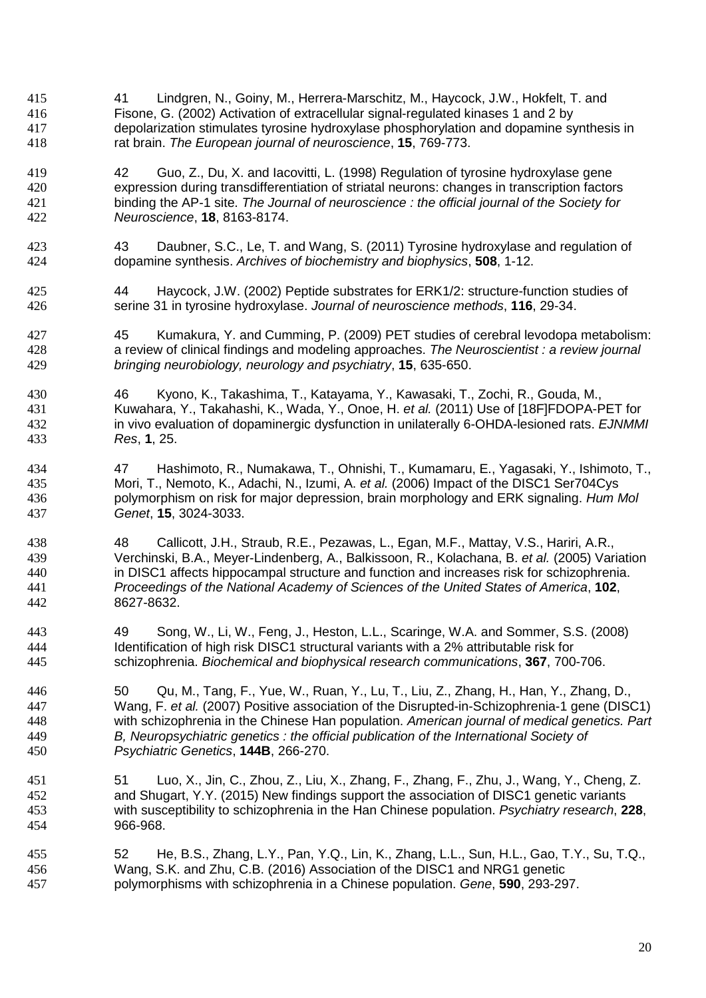- 41 Lindgren, N., Goiny, M., Herrera-Marschitz, M., Haycock, J.W., Hokfelt, T. and Fisone, G. (2002) Activation of extracellular signal-regulated kinases 1 and 2 by depolarization stimulates tyrosine hydroxylase phosphorylation and dopamine synthesis in rat brain. *The European journal of neuroscience*, **15**, 769-773.
- 42 Guo, Z., Du, X. and Iacovitti, L. (1998) Regulation of tyrosine hydroxylase gene expression during transdifferentiation of striatal neurons: changes in transcription factors binding the AP-1 site. *The Journal of neuroscience : the official journal of the Society for Neuroscience*, **18**, 8163-8174.
- 43 Daubner, S.C., Le, T. and Wang, S. (2011) Tyrosine hydroxylase and regulation of dopamine synthesis. *Archives of biochemistry and biophysics*, **508**, 1-12.
- 44 Haycock, J.W. (2002) Peptide substrates for ERK1/2: structure-function studies of serine 31 in tyrosine hydroxylase. *Journal of neuroscience methods*, **116**, 29-34.
- 45 Kumakura, Y. and Cumming, P. (2009) PET studies of cerebral levodopa metabolism: a review of clinical findings and modeling approaches. *The Neuroscientist : a review journal bringing neurobiology, neurology and psychiatry*, **15**, 635-650.
- 46 Kyono, K., Takashima, T., Katayama, Y., Kawasaki, T., Zochi, R., Gouda, M., Kuwahara, Y., Takahashi, K., Wada, Y., Onoe, H. *et al.* (2011) Use of [18F]FDOPA-PET for in vivo evaluation of dopaminergic dysfunction in unilaterally 6-OHDA-lesioned rats. *EJNMMI Res*, **1**, 25.
- 47 Hashimoto, R., Numakawa, T., Ohnishi, T., Kumamaru, E., Yagasaki, Y., Ishimoto, T., Mori, T., Nemoto, K., Adachi, N., Izumi, A. *et al.* (2006) Impact of the DISC1 Ser704Cys polymorphism on risk for major depression, brain morphology and ERK signaling. *Hum Mol Genet*, **15**, 3024-3033.
- 48 Callicott, J.H., Straub, R.E., Pezawas, L., Egan, M.F., Mattay, V.S., Hariri, A.R., Verchinski, B.A., Meyer-Lindenberg, A., Balkissoon, R., Kolachana, B. *et al.* (2005) Variation in DISC1 affects hippocampal structure and function and increases risk for schizophrenia. *Proceedings of the National Academy of Sciences of the United States of America*, **102**, 8627-8632.
- 49 Song, W., Li, W., Feng, J., Heston, L.L., Scaringe, W.A. and Sommer, S.S. (2008) Identification of high risk DISC1 structural variants with a 2% attributable risk for schizophrenia. *Biochemical and biophysical research communications*, **367**, 700-706.
- 50 Qu, M., Tang, F., Yue, W., Ruan, Y., Lu, T., Liu, Z., Zhang, H., Han, Y., Zhang, D., Wang, F. *et al.* (2007) Positive association of the Disrupted-in-Schizophrenia-1 gene (DISC1) with schizophrenia in the Chinese Han population. *American journal of medical genetics. Part B, Neuropsychiatric genetics : the official publication of the International Society of Psychiatric Genetics*, **144B**, 266-270.
- 51 Luo, X., Jin, C., Zhou, Z., Liu, X., Zhang, F., Zhang, F., Zhu, J., Wang, Y., Cheng, Z. and Shugart, Y.Y. (2015) New findings support the association of DISC1 genetic variants with susceptibility to schizophrenia in the Han Chinese population. *Psychiatry research*, **228**, 966-968.
- 52 He, B.S., Zhang, L.Y., Pan, Y.Q., Lin, K., Zhang, L.L., Sun, H.L., Gao, T.Y., Su, T.Q., Wang, S.K. and Zhu, C.B. (2016) Association of the DISC1 and NRG1 genetic polymorphisms with schizophrenia in a Chinese population. *Gene*, **590**, 293-297.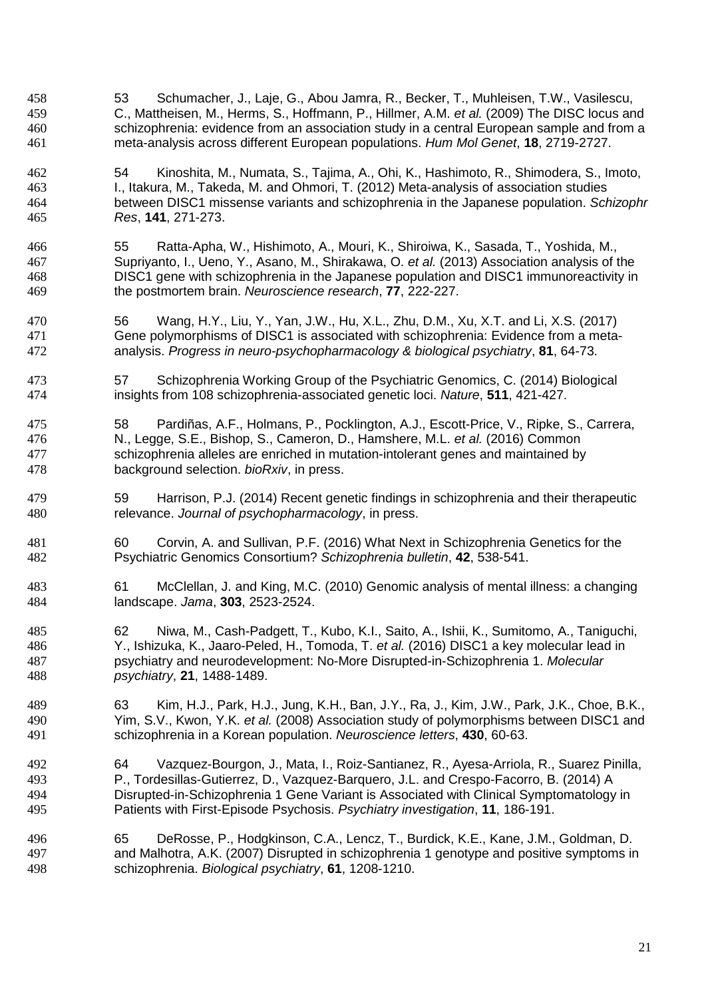- 53 Schumacher, J., Laje, G., Abou Jamra, R., Becker, T., Muhleisen, T.W., Vasilescu, C., Mattheisen, M., Herms, S., Hoffmann, P., Hillmer, A.M. *et al.* (2009) The DISC locus and schizophrenia: evidence from an association study in a central European sample and from a meta-analysis across different European populations. *Hum Mol Genet*, **18**, 2719-2727.
- 54 Kinoshita, M., Numata, S., Tajima, A., Ohi, K., Hashimoto, R., Shimodera, S., Imoto, I., Itakura, M., Takeda, M. and Ohmori, T. (2012) Meta-analysis of association studies between DISC1 missense variants and schizophrenia in the Japanese population. *Schizophr Res*, **141**, 271-273.
- 55 Ratta-Apha, W., Hishimoto, A., Mouri, K., Shiroiwa, K., Sasada, T., Yoshida, M., Supriyanto, I., Ueno, Y., Asano, M., Shirakawa, O. *et al.* (2013) Association analysis of the DISC1 gene with schizophrenia in the Japanese population and DISC1 immunoreactivity in the postmortem brain. *Neuroscience research*, **77**, 222-227.
- 56 Wang, H.Y., Liu, Y., Yan, J.W., Hu, X.L., Zhu, D.M., Xu, X.T. and Li, X.S. (2017) Gene polymorphisms of DISC1 is associated with schizophrenia: Evidence from a meta-analysis. *Progress in neuro-psychopharmacology & biological psychiatry*, **81**, 64-73.
- 57 Schizophrenia Working Group of the Psychiatric Genomics, C. (2014) Biological insights from 108 schizophrenia-associated genetic loci. *Nature*, **511**, 421-427.
- 58 Pardiñas, A.F., Holmans, P., Pocklington, A.J., Escott-Price, V., Ripke, S., Carrera, N., Legge, S.E., Bishop, S., Cameron, D., Hamshere, M.L. *et al.* (2016) Common schizophrenia alleles are enriched in mutation-intolerant genes and maintained by background selection. *bioRxiv*, in press.
- 59 Harrison, P.J. (2014) Recent genetic findings in schizophrenia and their therapeutic relevance. *Journal of psychopharmacology*, in press.
- 60 Corvin, A. and Sullivan, P.F. (2016) What Next in Schizophrenia Genetics for the Psychiatric Genomics Consortium? *Schizophrenia bulletin*, **42**, 538-541.
- 61 McClellan, J. and King, M.C. (2010) Genomic analysis of mental illness: a changing landscape. *Jama*, **303**, 2523-2524.
- 62 Niwa, M., Cash-Padgett, T., Kubo, K.I., Saito, A., Ishii, K., Sumitomo, A., Taniguchi, Y., Ishizuka, K., Jaaro-Peled, H., Tomoda, T. *et al.* (2016) DISC1 a key molecular lead in psychiatry and neurodevelopment: No-More Disrupted-in-Schizophrenia 1. *Molecular psychiatry*, **21**, 1488-1489.
- 63 Kim, H.J., Park, H.J., Jung, K.H., Ban, J.Y., Ra, J., Kim, J.W., Park, J.K., Choe, B.K., Yim, S.V., Kwon, Y.K. *et al.* (2008) Association study of polymorphisms between DISC1 and schizophrenia in a Korean population. *Neuroscience letters*, **430**, 60-63.
- 64 Vazquez-Bourgon, J., Mata, I., Roiz-Santianez, R., Ayesa-Arriola, R., Suarez Pinilla, P., Tordesillas-Gutierrez, D., Vazquez-Barquero, J.L. and Crespo-Facorro, B. (2014) A Disrupted-in-Schizophrenia 1 Gene Variant is Associated with Clinical Symptomatology in Patients with First-Episode Psychosis. *Psychiatry investigation*, **11**, 186-191.
- 65 DeRosse, P., Hodgkinson, C.A., Lencz, T., Burdick, K.E., Kane, J.M., Goldman, D. and Malhotra, A.K. (2007) Disrupted in schizophrenia 1 genotype and positive symptoms in schizophrenia. *Biological psychiatry*, **61**, 1208-1210.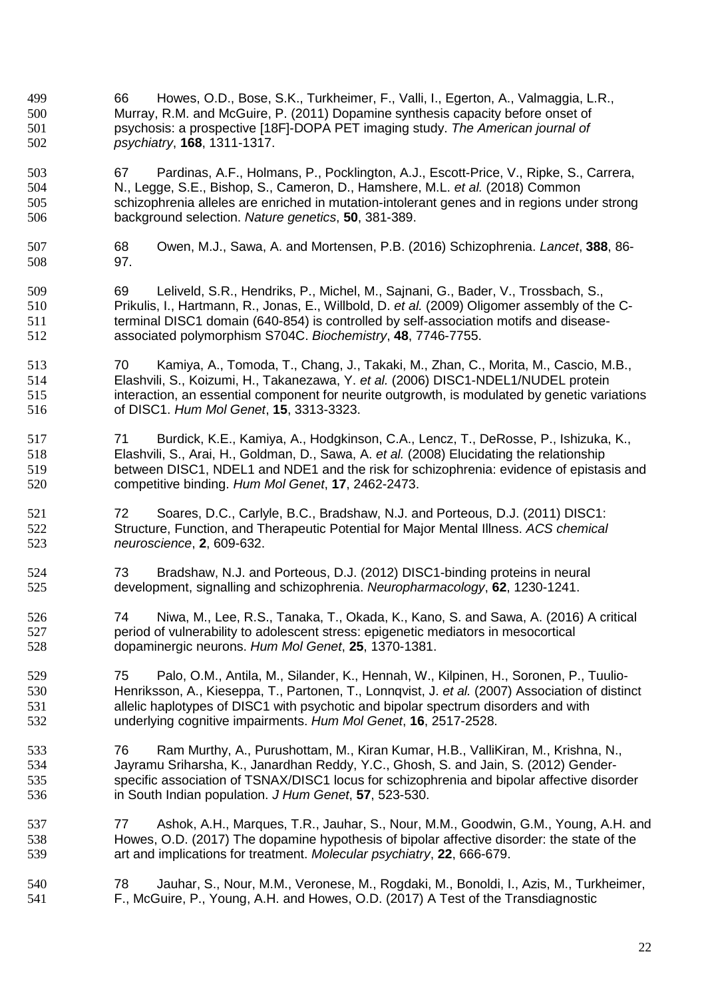- 66 Howes, O.D., Bose, S.K., Turkheimer, F., Valli, I., Egerton, A., Valmaggia, L.R., Murray, R.M. and McGuire, P. (2011) Dopamine synthesis capacity before onset of psychosis: a prospective [18F]-DOPA PET imaging study. *The American journal of psychiatry*, **168**, 1311-1317.
- 67 Pardinas, A.F., Holmans, P., Pocklington, A.J., Escott-Price, V., Ripke, S., Carrera, N., Legge, S.E., Bishop, S., Cameron, D., Hamshere, M.L. *et al.* (2018) Common schizophrenia alleles are enriched in mutation-intolerant genes and in regions under strong background selection. *Nature genetics*, **50**, 381-389.
- 68 Owen, M.J., Sawa, A. and Mortensen, P.B. (2016) Schizophrenia. *Lancet*, **388**, 86- 97.
- 69 Leliveld, S.R., Hendriks, P., Michel, M., Sajnani, G., Bader, V., Trossbach, S., Prikulis, I., Hartmann, R., Jonas, E., Willbold, D. *et al.* (2009) Oligomer assembly of the C-terminal DISC1 domain (640-854) is controlled by self-association motifs and disease-associated polymorphism S704C. *Biochemistry*, **48**, 7746-7755.
- 70 Kamiya, A., Tomoda, T., Chang, J., Takaki, M., Zhan, C., Morita, M., Cascio, M.B., Elashvili, S., Koizumi, H., Takanezawa, Y. *et al.* (2006) DISC1-NDEL1/NUDEL protein interaction, an essential component for neurite outgrowth, is modulated by genetic variations of DISC1. *Hum Mol Genet*, **15**, 3313-3323.
- 71 Burdick, K.E., Kamiya, A., Hodgkinson, C.A., Lencz, T., DeRosse, P., Ishizuka, K., Elashvili, S., Arai, H., Goldman, D., Sawa, A. *et al.* (2008) Elucidating the relationship between DISC1, NDEL1 and NDE1 and the risk for schizophrenia: evidence of epistasis and competitive binding. *Hum Mol Genet*, **17**, 2462-2473.
- 72 Soares, D.C., Carlyle, B.C., Bradshaw, N.J. and Porteous, D.J. (2011) DISC1: Structure, Function, and Therapeutic Potential for Major Mental Illness. *ACS chemical neuroscience*, **2**, 609-632.
- 73 Bradshaw, N.J. and Porteous, D.J. (2012) DISC1-binding proteins in neural development, signalling and schizophrenia. *Neuropharmacology*, **62**, 1230-1241.
- 74 Niwa, M., Lee, R.S., Tanaka, T., Okada, K., Kano, S. and Sawa, A. (2016) A critical period of vulnerability to adolescent stress: epigenetic mediators in mesocortical dopaminergic neurons. *Hum Mol Genet*, **25**, 1370-1381.
- 75 Palo, O.M., Antila, M., Silander, K., Hennah, W., Kilpinen, H., Soronen, P., Tuulio-Henriksson, A., Kieseppa, T., Partonen, T., Lonnqvist, J. *et al.* (2007) Association of distinct allelic haplotypes of DISC1 with psychotic and bipolar spectrum disorders and with underlying cognitive impairments. *Hum Mol Genet*, **16**, 2517-2528.
- 76 Ram Murthy, A., Purushottam, M., Kiran Kumar, H.B., ValliKiran, M., Krishna, N., Jayramu Sriharsha, K., Janardhan Reddy, Y.C., Ghosh, S. and Jain, S. (2012) Gender-specific association of TSNAX/DISC1 locus for schizophrenia and bipolar affective disorder in South Indian population. *J Hum Genet*, **57**, 523-530.
- 77 Ashok, A.H., Marques, T.R., Jauhar, S., Nour, M.M., Goodwin, G.M., Young, A.H. and Howes, O.D. (2017) The dopamine hypothesis of bipolar affective disorder: the state of the art and implications for treatment. *Molecular psychiatry*, **22**, 666-679.
- 78 Jauhar, S., Nour, M.M., Veronese, M., Rogdaki, M., Bonoldi, I., Azis, M., Turkheimer, F., McGuire, P., Young, A.H. and Howes, O.D. (2017) A Test of the Transdiagnostic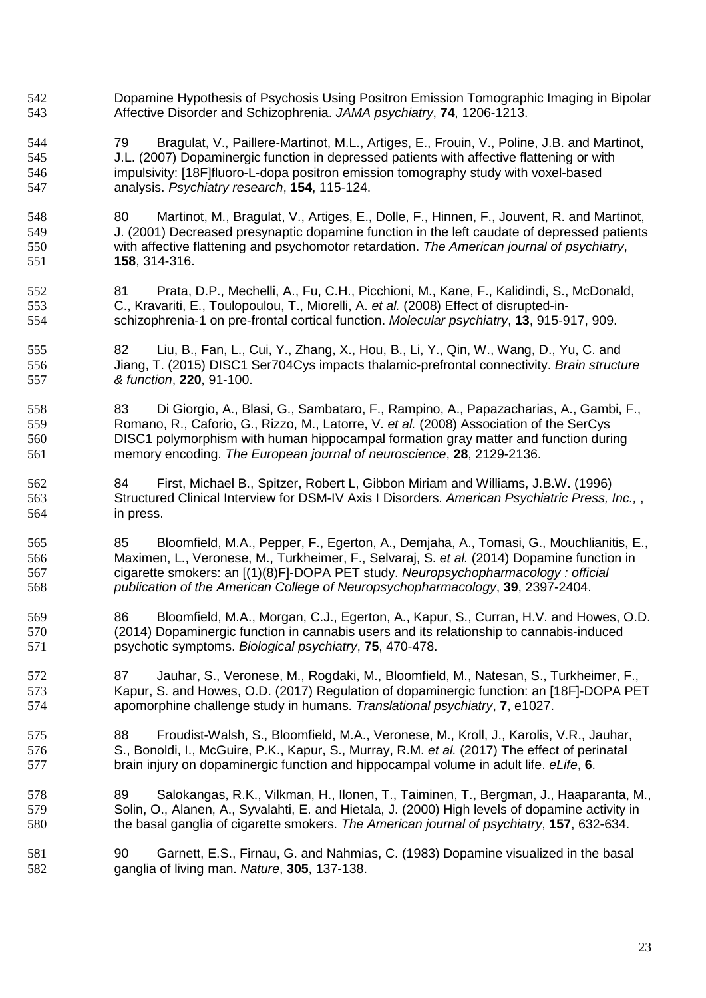- Dopamine Hypothesis of Psychosis Using Positron Emission Tomographic Imaging in Bipolar Affective Disorder and Schizophrenia. *JAMA psychiatry*, **74**, 1206-1213.
- 79 Bragulat, V., Paillere-Martinot, M.L., Artiges, E., Frouin, V., Poline, J.B. and Martinot, J.L. (2007) Dopaminergic function in depressed patients with affective flattening or with impulsivity: [18F]fluoro-L-dopa positron emission tomography study with voxel-based analysis. *Psychiatry research*, **154**, 115-124.

80 Martinot, M., Bragulat, V., Artiges, E., Dolle, F., Hinnen, F., Jouvent, R. and Martinot, J. (2001) Decreased presynaptic dopamine function in the left caudate of depressed patients with affective flattening and psychomotor retardation. *The American journal of psychiatry*, **158**, 314-316.

- 81 Prata, D.P., Mechelli, A., Fu, C.H., Picchioni, M., Kane, F., Kalidindi, S., McDonald, C., Kravariti, E., Toulopoulou, T., Miorelli, A. *et al.* (2008) Effect of disrupted-in-schizophrenia-1 on pre-frontal cortical function. *Molecular psychiatry*, **13**, 915-917, 909.
- 82 Liu, B., Fan, L., Cui, Y., Zhang, X., Hou, B., Li, Y., Qin, W., Wang, D., Yu, C. and Jiang, T. (2015) DISC1 Ser704Cys impacts thalamic-prefrontal connectivity. *Brain structure & function*, **220**, 91-100.
- 83 Di Giorgio, A., Blasi, G., Sambataro, F., Rampino, A., Papazacharias, A., Gambi, F., Romano, R., Caforio, G., Rizzo, M., Latorre, V. *et al.* (2008) Association of the SerCys DISC1 polymorphism with human hippocampal formation gray matter and function during memory encoding. *The European journal of neuroscience*, **28**, 2129-2136.
- 84 First, Michael B., Spitzer, Robert L, Gibbon Miriam and Williams, J.B.W. (1996) Structured Clinical Interview for DSM-IV Axis I Disorders. *American Psychiatric Press, Inc.,* , in press.
- 85 Bloomfield, M.A., Pepper, F., Egerton, A., Demjaha, A., Tomasi, G., Mouchlianitis, E., Maximen, L., Veronese, M., Turkheimer, F., Selvaraj, S. *et al.* (2014) Dopamine function in cigarette smokers: an [(1)(8)F]-DOPA PET study. *Neuropsychopharmacology : official publication of the American College of Neuropsychopharmacology*, **39**, 2397-2404.
- 86 Bloomfield, M.A., Morgan, C.J., Egerton, A., Kapur, S., Curran, H.V. and Howes, O.D. (2014) Dopaminergic function in cannabis users and its relationship to cannabis-induced psychotic symptoms. *Biological psychiatry*, **75**, 470-478.
- 87 Jauhar, S., Veronese, M., Rogdaki, M., Bloomfield, M., Natesan, S., Turkheimer, F., Kapur, S. and Howes, O.D. (2017) Regulation of dopaminergic function: an [18F]-DOPA PET apomorphine challenge study in humans. *Translational psychiatry*, **7**, e1027.
- 88 Froudist-Walsh, S., Bloomfield, M.A., Veronese, M., Kroll, J., Karolis, V.R., Jauhar, S., Bonoldi, I., McGuire, P.K., Kapur, S., Murray, R.M. *et al.* (2017) The effect of perinatal brain injury on dopaminergic function and hippocampal volume in adult life. *eLife*, **6**.
- 89 Salokangas, R.K., Vilkman, H., Ilonen, T., Taiminen, T., Bergman, J., Haaparanta, M., Solin, O., Alanen, A., Syvalahti, E. and Hietala, J. (2000) High levels of dopamine activity in the basal ganglia of cigarette smokers. *The American journal of psychiatry*, **157**, 632-634.
- 90 Garnett, E.S., Firnau, G. and Nahmias, C. (1983) Dopamine visualized in the basal ganglia of living man. *Nature*, **305**, 137-138.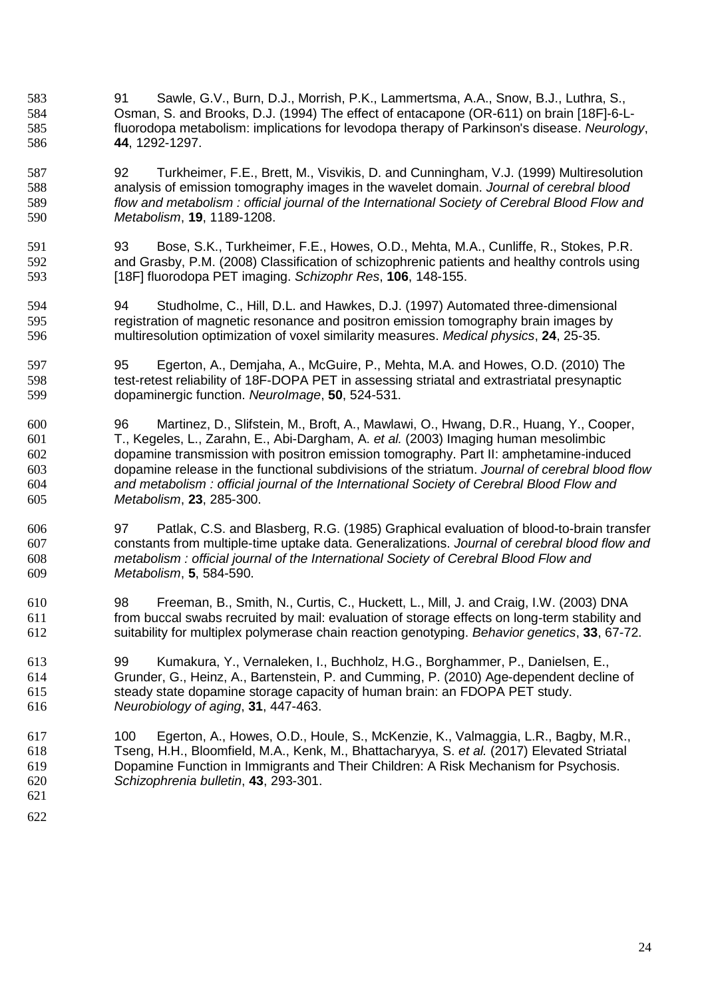- 91 Sawle, G.V., Burn, D.J., Morrish, P.K., Lammertsma, A.A., Snow, B.J., Luthra, S., Osman, S. and Brooks, D.J. (1994) The effect of entacapone (OR-611) on brain [18F]-6-L-fluorodopa metabolism: implications for levodopa therapy of Parkinson's disease. *Neurology*, **44**, 1292-1297.
- 92 Turkheimer, F.E., Brett, M., Visvikis, D. and Cunningham, V.J. (1999) Multiresolution analysis of emission tomography images in the wavelet domain. *Journal of cerebral blood flow and metabolism : official journal of the International Society of Cerebral Blood Flow and Metabolism*, **19**, 1189-1208.
- 93 Bose, S.K., Turkheimer, F.E., Howes, O.D., Mehta, M.A., Cunliffe, R., Stokes, P.R. and Grasby, P.M. (2008) Classification of schizophrenic patients and healthy controls using [18F] fluorodopa PET imaging. *Schizophr Res*, **106**, 148-155.
- 94 Studholme, C., Hill, D.L. and Hawkes, D.J. (1997) Automated three-dimensional registration of magnetic resonance and positron emission tomography brain images by multiresolution optimization of voxel similarity measures. *Medical physics*, **24**, 25-35.
- 95 Egerton, A., Demjaha, A., McGuire, P., Mehta, M.A. and Howes, O.D. (2010) The test-retest reliability of 18F-DOPA PET in assessing striatal and extrastriatal presynaptic dopaminergic function. *NeuroImage*, **50**, 524-531.
- 96 Martinez, D., Slifstein, M., Broft, A., Mawlawi, O., Hwang, D.R., Huang, Y., Cooper, T., Kegeles, L., Zarahn, E., Abi-Dargham, A. *et al.* (2003) Imaging human mesolimbic dopamine transmission with positron emission tomography. Part II: amphetamine-induced dopamine release in the functional subdivisions of the striatum. *Journal of cerebral blood flow and metabolism : official journal of the International Society of Cerebral Blood Flow and Metabolism*, **23**, 285-300.
- 97 Patlak, C.S. and Blasberg, R.G. (1985) Graphical evaluation of blood-to-brain transfer constants from multiple-time uptake data. Generalizations. *Journal of cerebral blood flow and metabolism : official journal of the International Society of Cerebral Blood Flow and Metabolism*, **5**, 584-590.
- 98 Freeman, B., Smith, N., Curtis, C., Huckett, L., Mill, J. and Craig, I.W. (2003) DNA from buccal swabs recruited by mail: evaluation of storage effects on long-term stability and suitability for multiplex polymerase chain reaction genotyping. *Behavior genetics*, **33**, 67-72.
- 99 Kumakura, Y., Vernaleken, I., Buchholz, H.G., Borghammer, P., Danielsen, E., Grunder, G., Heinz, A., Bartenstein, P. and Cumming, P. (2010) Age-dependent decline of steady state dopamine storage capacity of human brain: an FDOPA PET study. *Neurobiology of aging*, **31**, 447-463.
- 100 Egerton, A., Howes, O.D., Houle, S., McKenzie, K., Valmaggia, L.R., Bagby, M.R., Tseng, H.H., Bloomfield, M.A., Kenk, M., Bhattacharyya, S. *et al.* (2017) Elevated Striatal Dopamine Function in Immigrants and Their Children: A Risk Mechanism for Psychosis. *Schizophrenia bulletin*, **43**, 293-301.
-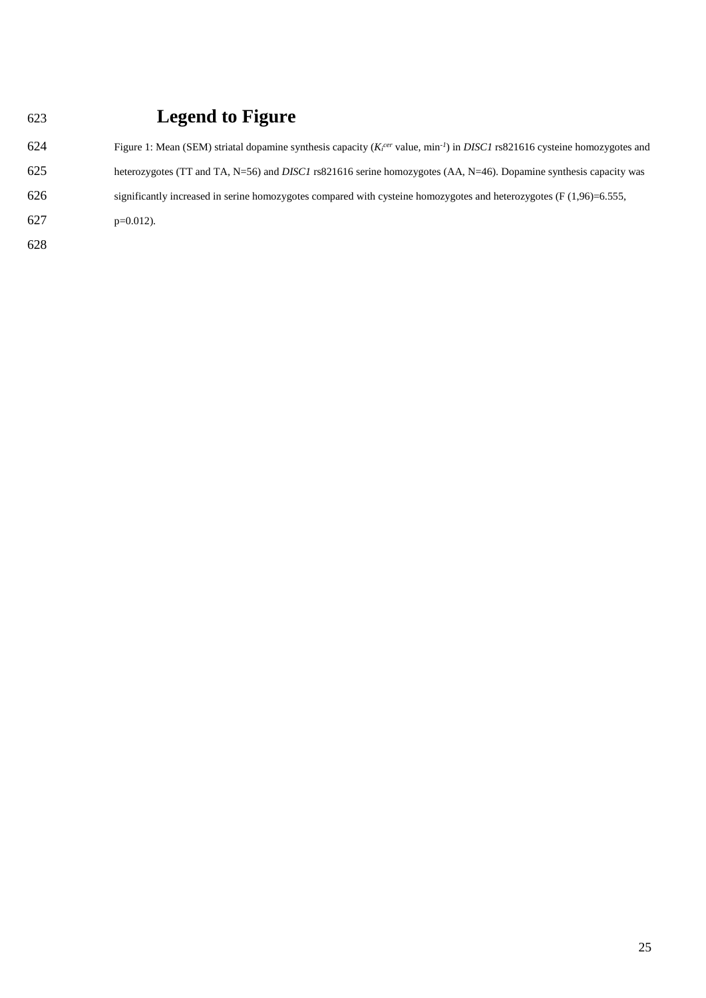| 623 | <b>Legend to Figure</b>                                                                                                                  |
|-----|------------------------------------------------------------------------------------------------------------------------------------------|
| 624 | Figure 1: Mean (SEM) striatal dopamine synthesis capacity $(Kicer$ value, min <sup>-1</sup> ) in DISC1 rs821616 cysteine homozygotes and |
| 625 | heterozygotes (TT and TA, N=56) and <i>DISC1</i> rs821616 serine homozygotes (AA, N=46). Dopamine synthesis capacity was                 |
| 626 | significantly increased in serine homozygotes compared with cysteine homozygotes and heterozygotes ( $F(1,96)=6.555$ ,                   |
| 627 | $p=0.012$ ).                                                                                                                             |
| 628 |                                                                                                                                          |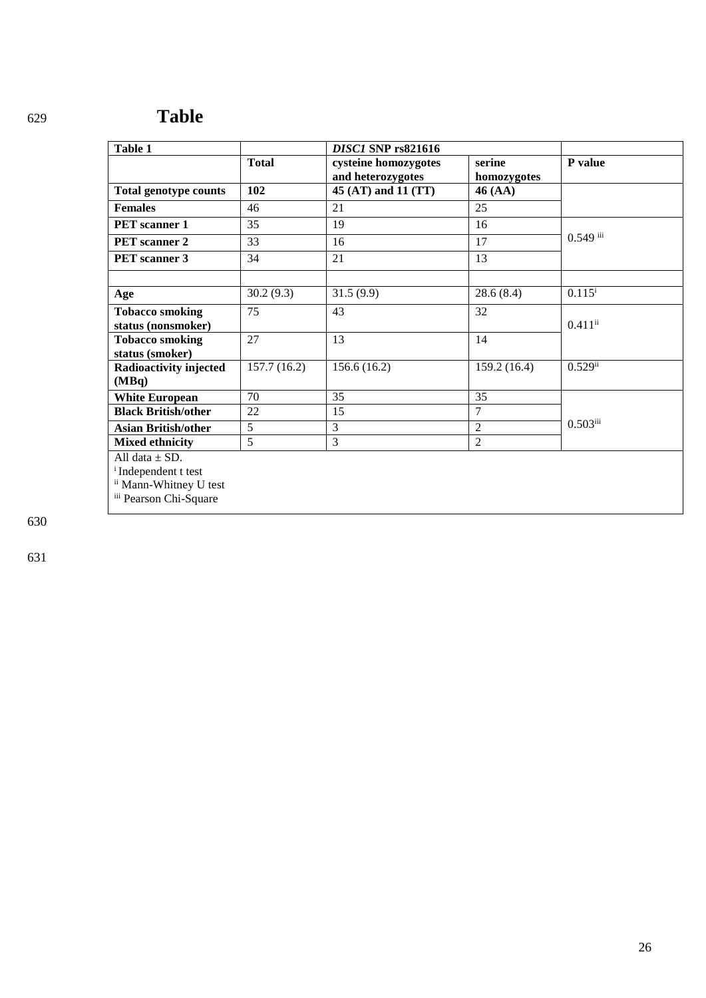# <sup>629</sup>**Table**

| Table 1                                                                                                              |                | <b>DISC1 SNP rs821616</b>                 |                       |                       |
|----------------------------------------------------------------------------------------------------------------------|----------------|-------------------------------------------|-----------------------|-----------------------|
|                                                                                                                      | <b>Total</b>   | cysteine homozygotes<br>and heterozygotes | serine<br>homozygotes | P value               |
| <b>Total genotype counts</b>                                                                                         | 102            | 45 (AT) and 11 (TT)                       | 46 (AA)               |                       |
| <b>Females</b>                                                                                                       | 46             | 21                                        | 25                    |                       |
| <b>PET</b> scanner 1                                                                                                 | 35             | 19                                        | 16                    | $0.549$ iii           |
| <b>PET</b> scanner 2                                                                                                 | 33             | 16                                        | 17                    |                       |
| <b>PET</b> scanner 3                                                                                                 | 34             | 21                                        | 13                    |                       |
|                                                                                                                      |                |                                           |                       |                       |
| Age                                                                                                                  | 30.2(9.3)      | 31.5(9.9)                                 | 28.6(8.4)             | $0.115^{i}$           |
| <b>Tobacco smoking</b>                                                                                               | 75             | 43                                        | 32                    | $0.411$ <sup>ii</sup> |
| status (nonsmoker)                                                                                                   |                |                                           |                       |                       |
| <b>Tobacco smoking</b>                                                                                               | 27             | 13                                        | 14                    |                       |
| status (smoker)                                                                                                      |                |                                           |                       |                       |
| Radioactivity injected                                                                                               | 157.7(16.2)    | 156.6(16.2)                               | 159.2(16.4)           | $0.529$ ii            |
| (MBq)                                                                                                                |                |                                           |                       |                       |
| <b>White European</b>                                                                                                | 70             | 35                                        | 35                    |                       |
| <b>Black British/other</b>                                                                                           | 22             | 15                                        | 7                     |                       |
| <b>Asian British/other</b>                                                                                           | $\overline{5}$ | 3                                         | $\overline{2}$        | $0.503$ iii           |
| <b>Mixed ethnicity</b>                                                                                               | $\overline{5}$ | $\overline{3}$                            | $\overline{2}$        |                       |
| All data $\pm$ SD.<br><sup>i</sup> Independent t test<br><sup>ii</sup> Mann-Whitney U test<br>iii Pearson Chi-Square |                |                                           |                       |                       |

630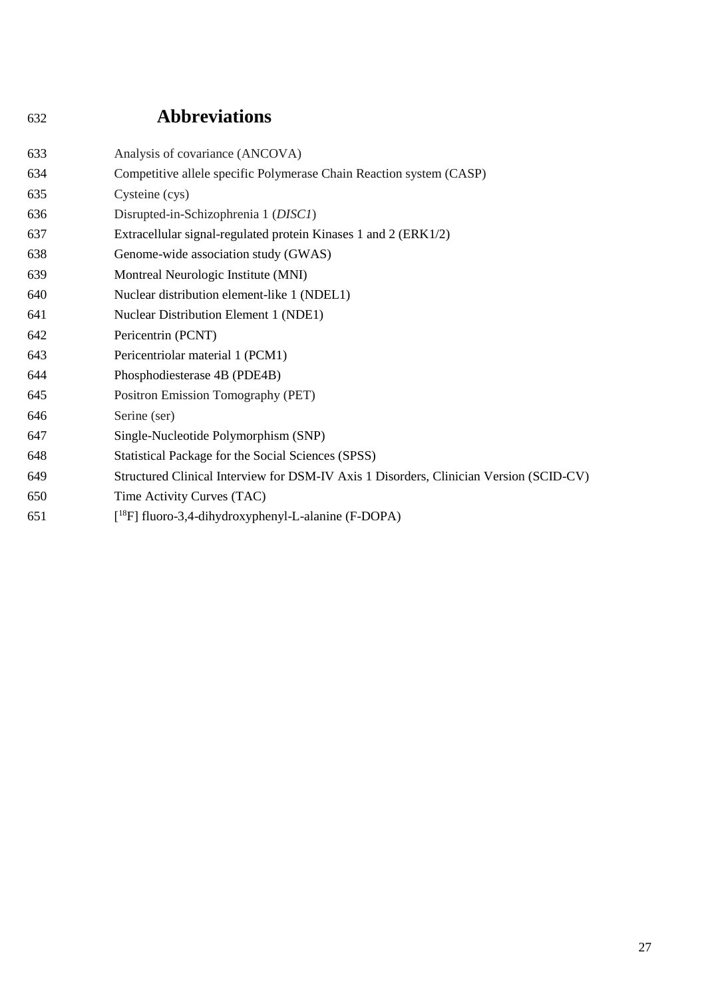# <sup>632</sup>**Abbreviations**

| 633 | Analysis of covariance (ANCOVA)                                                        |
|-----|----------------------------------------------------------------------------------------|
| 634 | Competitive allele specific Polymerase Chain Reaction system (CASP)                    |
| 635 | Cysteine (cys)                                                                         |
| 636 | Disrupted-in-Schizophrenia 1 (DISC1)                                                   |
| 637 | Extracellular signal-regulated protein Kinases 1 and 2 (ERK1/2)                        |
| 638 | Genome-wide association study (GWAS)                                                   |
| 639 | Montreal Neurologic Institute (MNI)                                                    |
| 640 | Nuclear distribution element-like 1 (NDEL1)                                            |
| 641 | <b>Nuclear Distribution Element 1 (NDE1)</b>                                           |
| 642 | Pericentrin (PCNT)                                                                     |
| 643 | Pericentriolar material 1 (PCM1)                                                       |
| 644 | Phosphodiesterase 4B (PDE4B)                                                           |
| 645 | Positron Emission Tomography (PET)                                                     |
| 646 | Serine (ser)                                                                           |
| 647 | Single-Nucleotide Polymorphism (SNP)                                                   |
| 648 | Statistical Package for the Social Sciences (SPSS)                                     |
| 649 | Structured Clinical Interview for DSM-IV Axis 1 Disorders, Clinician Version (SCID-CV) |
| 650 | Time Activity Curves (TAC)                                                             |
| 651 | $[{}^{18}F]$ fluoro-3,4-dihydroxyphenyl-L-alanine (F-DOPA)                             |